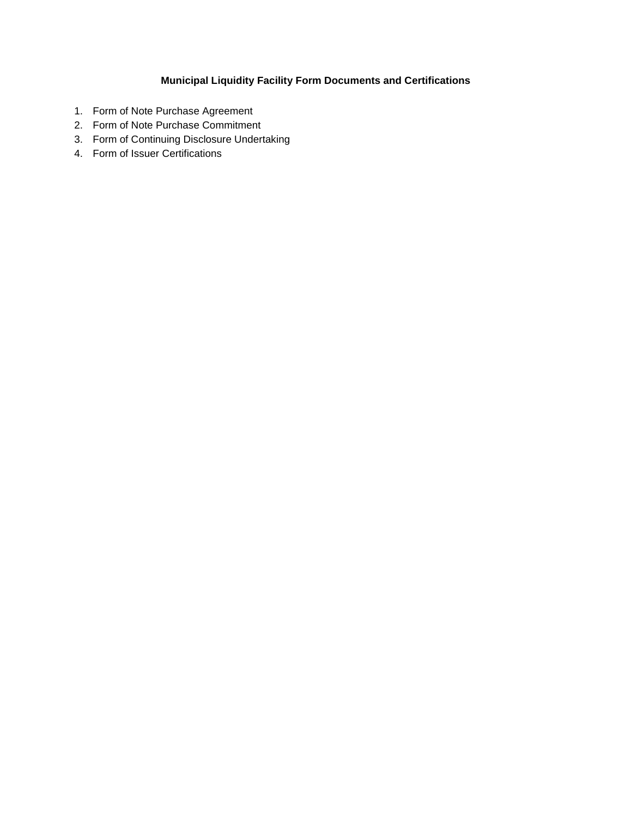# **Municipal Liquidity Facility Form Documents and Certifications**

- 1. Form of Note Purchase Agreement
- 2. Form of Note Purchase Commitment
- 3. Form of Continuing Disclosure Undertaking
- 4. Form of Issuer Certifications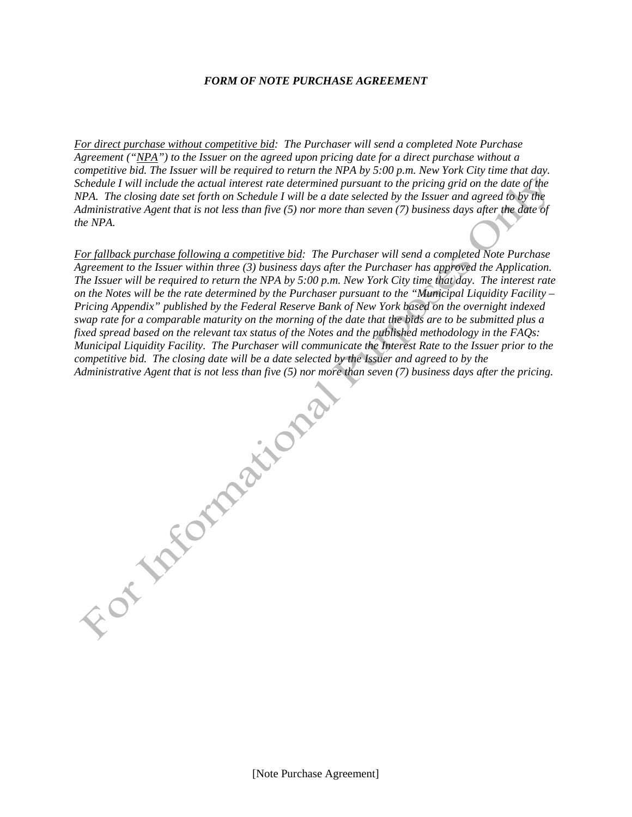#### *FORM OF NOTE PURCHASE AGREEMENT*

*For direct purchase without competitive bid: The Purchaser will send a completed Note Purchase Agreement ("NPA") to the Issuer on the agreed upon pricing date for a direct purchase without a competitive bid. The Issuer will be required to return the NPA by 5:00 p.m. New York City time that day. Schedule I will include the actual interest rate determined pursuant to the pricing grid on the date of the NPA. The closing date set forth on Schedule I will be a date selected by the Issuer and agreed to by the Administrative Agent that is not less than five (5) nor more than seven (7) business days after the date of the NPA.* 

*For fallback purchase following a competitive bid: The Purchaser will send a completed Note Purchase Agreement to the Issuer within three (3) business days after the Purchaser has approved the Application. The Issuer will be required to return the NPA by 5:00 p.m. New York City time that day. The interest rate on the Notes will be the rate determined by the Purchaser pursuant to the "Municipal Liquidity Facility – Pricing Appendix" published by the Federal Reserve Bank of New York based on the overnight indexed swap rate for a comparable maturity on the morning of the date that the bids are to be submitted plus a fixed spread based on the relevant tax status of the Notes and the published methodology in the FAQs: Municipal Liquidity Facility. The Purchaser will communicate the Interest Rate to the Issuer prior to the Islam finite is not less than five (5) nor more than seven (7) business days after the pricing.*<br>Administrative Age *competitive bid. The closing date will be a date selected by the Issuer and agreed to by the Administrative Agent that is not less than five (5) nor more than seven (7) business days after the pricing.*

[Note Purchase Agreement]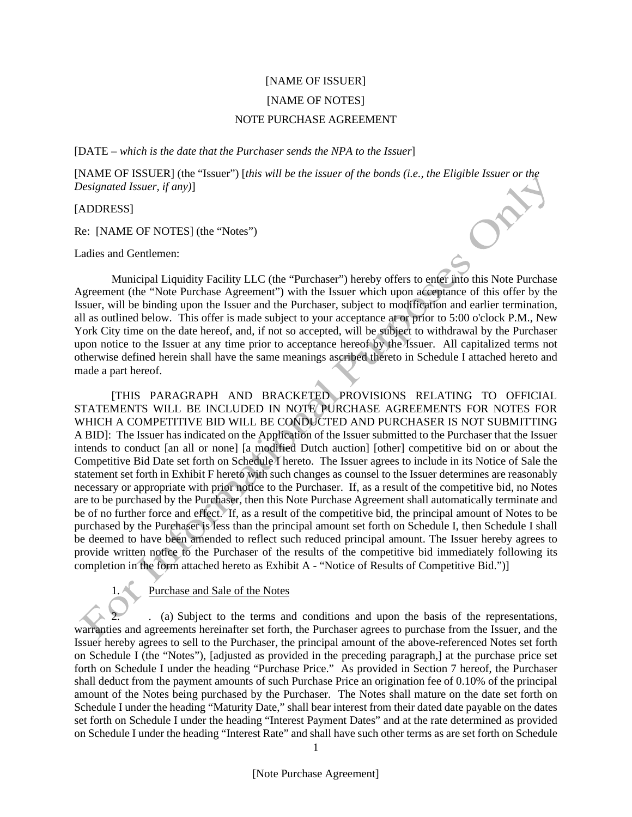# [NAME OF ISSUER] [NAME OF NOTES] NOTE PURCHASE AGREEMENT

[DATE – *which is the date that the Purchaser sends the NPA to the Issuer*]

[NAME OF ISSUER] (the "Issuer") [*this will be the issuer of the bonds (i.e., the Eligible Issuer or the Designated Issuer, if any)*]

[ADDRESS]

Re: [NAME OF NOTES] (the "Notes")

Ladies and Gentlemen:

Municipal Liquidity Facility LLC (the "Purchaser") hereby offers to enter into this Note Purchase Agreement (the "Note Purchase Agreement") with the Issuer which upon acceptance of this offer by the Issuer, will be binding upon the Issuer and the Purchaser, subject to modification and earlier termination, all as outlined below. This offer is made subject to your acceptance at or prior to 5:00 o'clock P.M., New York City time on the date hereof, and, if not so accepted, will be subject to withdrawal by the Purchaser upon notice to the Issuer at any time prior to acceptance hereof by the Issuer. All capitalized terms not otherwise defined herein shall have the same meanings ascribed thereto in Schedule I attached hereto and made a part hereof.

[THIS PARAGRAPH AND BRACKETED PROVISIONS RELATING TO OFFICIAL STATEMENTS WILL BE INCLUDED IN NOTE PURCHASE AGREEMENTS FOR NOTES FOR WHICH A COMPETITIVE BID WILL BE CONDUCTED AND PURCHASER IS NOT SUBMITTING A BID]: The Issuer has indicated on the Application of the Issuer submitted to the Purchaser that the Issuer intends to conduct [an all or none] [a modified Dutch auction] [other] competitive bid on or about the Competitive Bid Date set forth on Schedule I hereto. The Issuer agrees to include in its Notice of Sale the statement set forth in Exhibit F hereto with such changes as counsel to the Issuer determines are reasonably necessary or appropriate with prior notice to the Purchaser. If, as a result of the competitive bid, no Notes are to be purchased by the Purchaser, then this Note Purchase Agreement shall automatically terminate and be of no further force and effect. If, as a result of the competitive bid, the principal amount of Notes to be purchased by the Purchaser is less than the principal amount set forth on Schedule I, then Schedule I shall be deemed to have been amended to reflect such reduced principal amount. The Issuer hereby agrees to provide written notice to the Purchaser of the results of the competitive bid immediately following its completion in the form attached hereto as Exhibit A - "Notice of Results of Competitive Bid.")]

1. Purchase and Sale of the Notes

2. . (a) Subject to the terms and conditions and upon the basis of the representations, warranties and agreements hereinafter set forth, the Purchaser agrees to purchase from the Issuer, and the Issuer hereby agrees to sell to the Purchaser, the principal amount of the above-referenced Notes set forth on Schedule I (the "Notes"), [adjusted as provided in the preceding paragraph,] at the purchase price set forth on Schedule I under the heading "Purchase Price." As provided in Section 7 hereof, the Purchaser shall deduct from the payment amounts of such Purchase Price an origination fee of 0.10% of the principal amount of the Notes being purchased by the Purchaser. The Notes shall mature on the date set forth on Schedule I under the heading "Maturity Date," shall bear interest from their dated date payable on the dates set forth on Schedule I under the heading "Interest Payment Dates" and at the rate determined as provided on Schedule I under the heading "Interest Rate" and shall have such other terms as are set forth on Schedule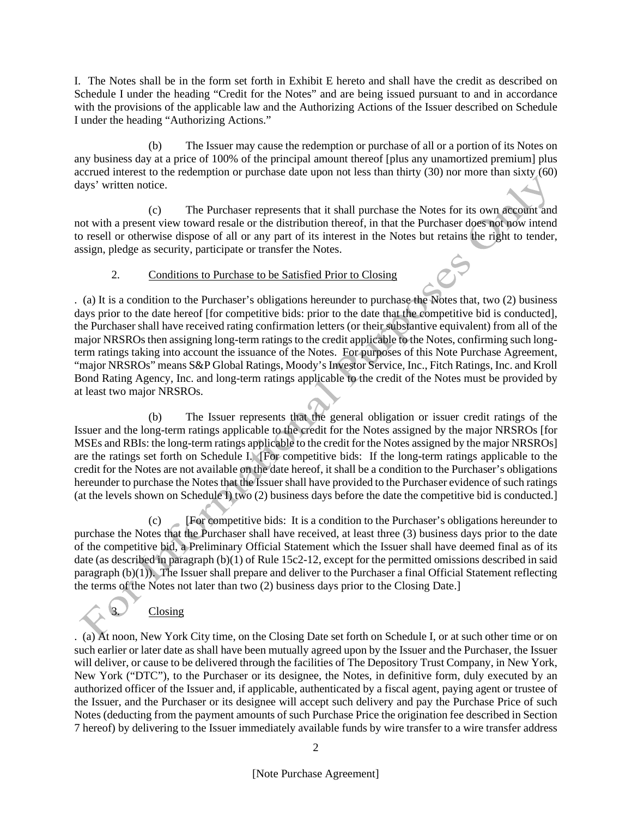I. The Notes shall be in the form set forth in Exhibit E hereto and shall have the credit as described on Schedule I under the heading "Credit for the Notes" and are being issued pursuant to and in accordance with the provisions of the applicable law and the Authorizing Actions of the Issuer described on Schedule I under the heading "Authorizing Actions."

(b) The Issuer may cause the redemption or purchase of all or a portion of its Notes on any business day at a price of 100% of the principal amount thereof [plus any unamortized premium] plus accrued interest to the redemption or purchase date upon not less than thirty (30) nor more than sixty (60) days' written notice.

(c) The Purchaser represents that it shall purchase the Notes for its own account and not with a present view toward resale or the distribution thereof, in that the Purchaser does not now intend to resell or otherwise dispose of all or any part of its interest in the Notes but retains the right to tender, assign, pledge as security, participate or transfer the Notes.

## 2. Conditions to Purchase to be Satisfied Prior to Closing

. (a) It is a condition to the Purchaser's obligations hereunder to purchase the Notes that, two (2) business days prior to the date hereof [for competitive bids: prior to the date that the competitive bid is conducted], the Purchaser shall have received rating confirmation letters (or their substantive equivalent) from all of the major NRSROs then assigning long-term ratings to the credit applicable to the Notes, confirming such longterm ratings taking into account the issuance of the Notes. For purposes of this Note Purchase Agreement, "major NRSROs" means S&P Global Ratings, Moody's Investor Service, Inc., Fitch Ratings, Inc. and Kroll Bond Rating Agency, Inc. and long-term ratings applicable to the credit of the Notes must be provided by at least two major NRSROs.

(b) The Issuer represents that the general obligation or issuer credit ratings of the Issuer and the long-term ratings applicable to the credit for the Notes assigned by the major NRSROs [for MSEs and RBIs: the long-term ratings applicable to the credit for the Notes assigned by the major NRSROs] are the ratings set forth on Schedule I. [For competitive bids: If the long-term ratings applicable to the credit for the Notes are not available on the date hereof, it shall be a condition to the Purchaser's obligations hereunder to purchase the Notes that the Issuer shall have provided to the Purchaser evidence of such ratings (at the levels shown on Schedule I) two (2) business days before the date the competitive bid is conducted.]

(c) [For competitive bids: It is a condition to the Purchaser's obligations hereunder to purchase the Notes that the Purchaser shall have received, at least three (3) business days prior to the date of the competitive bid, a Preliminary Official Statement which the Issuer shall have deemed final as of its date (as described in paragraph (b)(1) of Rule 15c2-12, except for the permitted omissions described in said paragraph (b)(1)). The Issuer shall prepare and deliver to the Purchaser a final Official Statement reflecting the terms of the Notes not later than two (2) business days prior to the Closing Date.]

**Closing** 

. (a) At noon, New York City time, on the Closing Date set forth on Schedule I, or at such other time or on such earlier or later date as shall have been mutually agreed upon by the Issuer and the Purchaser, the Issuer will deliver, or cause to be delivered through the facilities of The Depository Trust Company, in New York, New York ("DTC"), to the Purchaser or its designee, the Notes, in definitive form, duly executed by an authorized officer of the Issuer and, if applicable, authenticated by a fiscal agent, paying agent or trustee of the Issuer, and the Purchaser or its designee will accept such delivery and pay the Purchase Price of such Notes (deducting from the payment amounts of such Purchase Price the origination fee described in Section 7 hereof) by delivering to the Issuer immediately available funds by wire transfer to a wire transfer address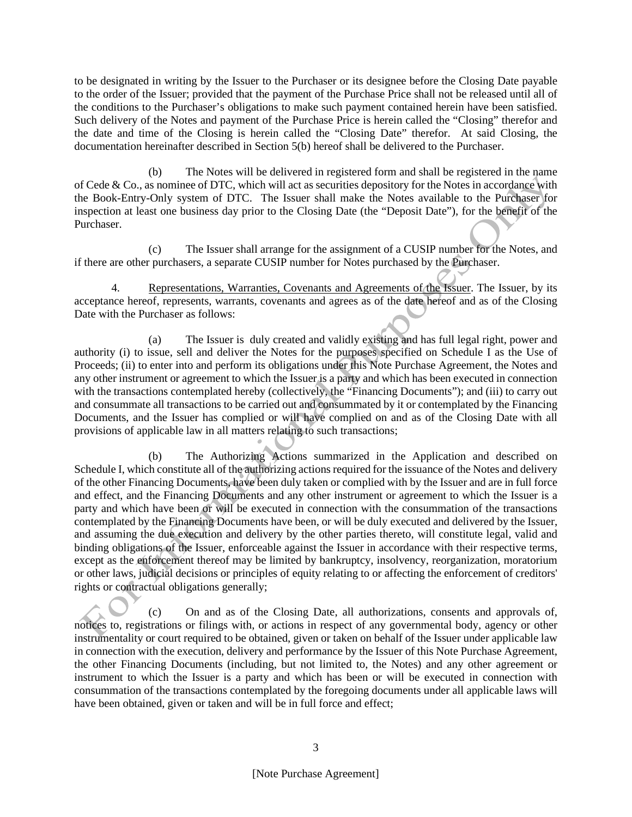to be designated in writing by the Issuer to the Purchaser or its designee before the Closing Date payable to the order of the Issuer; provided that the payment of the Purchase Price shall not be released until all of the conditions to the Purchaser's obligations to make such payment contained herein have been satisfied. Such delivery of the Notes and payment of the Purchase Price is herein called the "Closing" therefor and the date and time of the Closing is herein called the "Closing Date" therefor. At said Closing, the documentation hereinafter described in Section 5(b) hereof shall be delivered to the Purchaser.

(b) The Notes will be delivered in registered form and shall be registered in the name of Cede & Co., as nominee of DTC, which will act as securities depository for the Notes in accordance with the Book-Entry-Only system of DTC. The Issuer shall make the Notes available to the Purchaser for inspection at least one business day prior to the Closing Date (the "Deposit Date"), for the benefit of the Purchaser.

(c) The Issuer shall arrange for the assignment of a CUSIP number for the Notes, and if there are other purchasers, a separate CUSIP number for Notes purchased by the Purchaser.

4. Representations, Warranties, Covenants and Agreements of the Issuer. The Issuer, by its acceptance hereof, represents, warrants, covenants and agrees as of the date hereof and as of the Closing Date with the Purchaser as follows:

(a) The Issuer is duly created and validly existing and has full legal right, power and authority (i) to issue, sell and deliver the Notes for the purposes specified on Schedule I as the Use of Proceeds; (ii) to enter into and perform its obligations under this Note Purchase Agreement, the Notes and any other instrument or agreement to which the Issuer is a party and which has been executed in connection with the transactions contemplated hereby (collectively, the "Financing Documents"); and (iii) to carry out and consummate all transactions to be carried out and consummated by it or contemplated by the Financing Documents, and the Issuer has complied or will have complied on and as of the Closing Date with all provisions of applicable law in all matters relating to such transactions;

(b) The Authorizing Actions summarized in the Application and described on Schedule I, which constitute all of the authorizing actions required for the issuance of the Notes and delivery of the other Financing Documents, have been duly taken or complied with by the Issuer and are in full force and effect, and the Financing Documents and any other instrument or agreement to which the Issuer is a party and which have been or will be executed in connection with the consummation of the transactions contemplated by the Financing Documents have been, or will be duly executed and delivered by the Issuer, and assuming the due execution and delivery by the other parties thereto, will constitute legal, valid and binding obligations of the Issuer, enforceable against the Issuer in accordance with their respective terms, except as the enforcement thereof may be limited by bankruptcy, insolvency, reorganization, moratorium or other laws, judicial decisions or principles of equity relating to or affecting the enforcement of creditors' rights or contractual obligations generally;

(c) On and as of the Closing Date, all authorizations, consents and approvals of, notices to, registrations or filings with, or actions in respect of any governmental body, agency or other instrumentality or court required to be obtained, given or taken on behalf of the Issuer under applicable law in connection with the execution, delivery and performance by the Issuer of this Note Purchase Agreement, the other Financing Documents (including, but not limited to, the Notes) and any other agreement or instrument to which the Issuer is a party and which has been or will be executed in connection with consummation of the transactions contemplated by the foregoing documents under all applicable laws will have been obtained, given or taken and will be in full force and effect;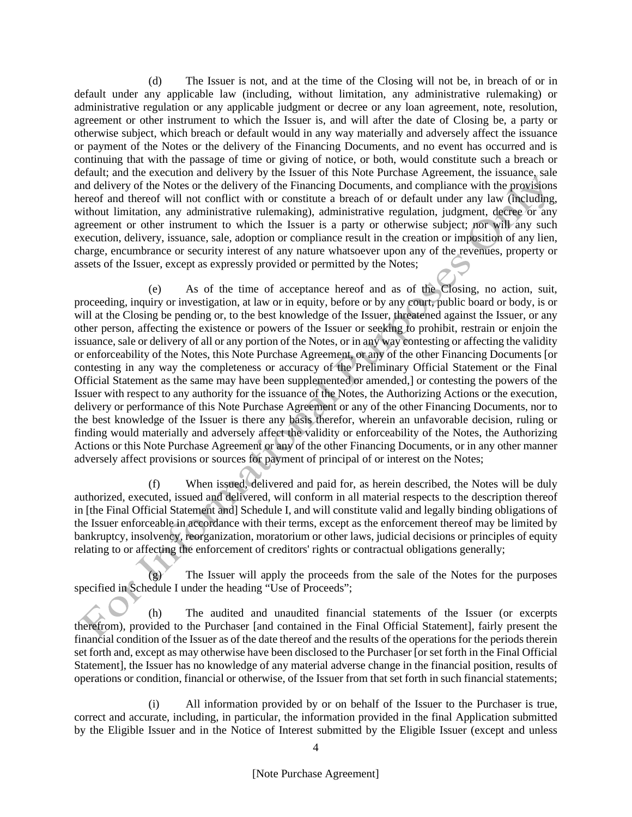(d) The Issuer is not, and at the time of the Closing will not be, in breach of or in default under any applicable law (including, without limitation, any administrative rulemaking) or administrative regulation or any applicable judgment or decree or any loan agreement, note, resolution, agreement or other instrument to which the Issuer is, and will after the date of Closing be, a party or otherwise subject, which breach or default would in any way materially and adversely affect the issuance or payment of the Notes or the delivery of the Financing Documents, and no event has occurred and is continuing that with the passage of time or giving of notice, or both, would constitute such a breach or default; and the execution and delivery by the Issuer of this Note Purchase Agreement, the issuance, sale and delivery of the Notes or the delivery of the Financing Documents, and compliance with the provisions hereof and thereof will not conflict with or constitute a breach of or default under any law (including, without limitation, any administrative rulemaking), administrative regulation, judgment, decree or any agreement or other instrument to which the Issuer is a party or otherwise subject; nor will any such execution, delivery, issuance, sale, adoption or compliance result in the creation or imposition of any lien, charge, encumbrance or security interest of any nature whatsoever upon any of the revenues, property or assets of the Issuer, except as expressly provided or permitted by the Notes;

(e) As of the time of acceptance hereof and as of the Closing, no action, suit, proceeding, inquiry or investigation, at law or in equity, before or by any court, public board or body, is or will at the Closing be pending or, to the best knowledge of the Issuer, threatened against the Issuer, or any other person, affecting the existence or powers of the Issuer or seeking to prohibit, restrain or enjoin the issuance, sale or delivery of all or any portion of the Notes, or in any way contesting or affecting the validity or enforceability of the Notes, this Note Purchase Agreement, or any of the other Financing Documents [or contesting in any way the completeness or accuracy of the Preliminary Official Statement or the Final Official Statement as the same may have been supplemented or amended,] or contesting the powers of the Issuer with respect to any authority for the issuance of the Notes, the Authorizing Actions or the execution, delivery or performance of this Note Purchase Agreement or any of the other Financing Documents, nor to the best knowledge of the Issuer is there any basis therefor, wherein an unfavorable decision, ruling or finding would materially and adversely affect the validity or enforceability of the Notes, the Authorizing Actions or this Note Purchase Agreement or any of the other Financing Documents, or in any other manner adversely affect provisions or sources for payment of principal of or interest on the Notes;

(f) When issued, delivered and paid for, as herein described, the Notes will be duly authorized, executed, issued and delivered, will conform in all material respects to the description thereof in [the Final Official Statement and] Schedule I, and will constitute valid and legally binding obligations of the Issuer enforceable in accordance with their terms, except as the enforcement thereof may be limited by bankruptcy, insolvency, reorganization, moratorium or other laws, judicial decisions or principles of equity relating to or affecting the enforcement of creditors' rights or contractual obligations generally;

 $(g)$  The Issuer will apply the proceeds from the sale of the Notes for the purposes specified in Schedule I under the heading "Use of Proceeds";

(h) The audited and unaudited financial statements of the Issuer (or excerpts therefrom), provided to the Purchaser [and contained in the Final Official Statement], fairly present the financial condition of the Issuer as of the date thereof and the results of the operations for the periods therein set forth and, except as may otherwise have been disclosed to the Purchaser [or set forth in the Final Official Statement], the Issuer has no knowledge of any material adverse change in the financial position, results of operations or condition, financial or otherwise, of the Issuer from that set forth in such financial statements;

(i) All information provided by or on behalf of the Issuer to the Purchaser is true, correct and accurate, including, in particular, the information provided in the final Application submitted by the Eligible Issuer and in the Notice of Interest submitted by the Eligible Issuer (except and unless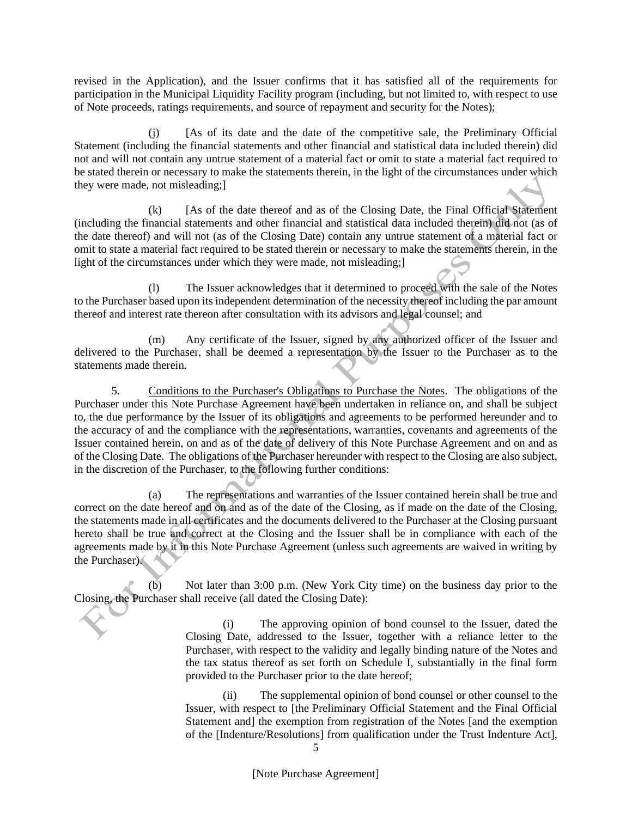revised in the Application), and the Issuer confirms that it has satisfied all of the requirements for participation in the Municipal Liquidity Facility program (including, but not limited to, with respect to use of Note proceeds, ratings requirements, and source of repayment and security for the Notes);

(j) [As of its date and the date of the competitive sale, the Preliminary Official Statement (including the financial statements and other financial and statistical data included therein) did not and will not contain any untrue statement of a material fact or omit to state a material fact required to be stated therein or necessary to make the statements therein, in the light of the circumstances under which they were made, not misleading;]

(k) [As of the date thereof and as of the Closing Date, the Final Official Statement (including the financial statements and other financial and statistical data included therein) did not (as of the date thereof) and will not (as of the Closing Date) contain any untrue statement of a material fact or omit to state a material fact required to be stated therein or necessary to make the statements therein, in the light of the circumstances under which they were made, not misleading;

(l) The Issuer acknowledges that it determined to proceed with the sale of the Notes to the Purchaser based upon its independent determination of the necessity thereof including the par amount thereof and interest rate thereon after consultation with its advisors and legal counsel; and

(m) Any certificate of the Issuer, signed by any authorized officer of the Issuer and delivered to the Purchaser, shall be deemed a representation by the Issuer to the Purchaser as to the statements made therein.

5. Conditions to the Purchaser's Obligations to Purchase the Notes. The obligations of the Purchaser under this Note Purchase Agreement have been undertaken in reliance on, and shall be subject to, the due performance by the Issuer of its obligations and agreements to be performed hereunder and to the accuracy of and the compliance with the representations, warranties, covenants and agreements of the Issuer contained herein, on and as of the date of delivery of this Note Purchase Agreement and on and as of the Closing Date. The obligations of the Purchaser hereunder with respect to the Closing are also subject, in the discretion of the Purchaser, to the following further conditions:

(a) The representations and warranties of the Issuer contained herein shall be true and correct on the date hereof and on and as of the date of the Closing, as if made on the date of the Closing, the statements made in all certificates and the documents delivered to the Purchaser at the Closing pursuant hereto shall be true and correct at the Closing and the Issuer shall be in compliance with each of the agreements made by it in this Note Purchase Agreement (unless such agreements are waived in writing by the Purchaser).

(b) Not later than 3:00 p.m. (New York City time) on the business day prior to the Closing, the Purchaser shall receive (all dated the Closing Date):

> (i) The approving opinion of bond counsel to the Issuer, dated the Closing Date, addressed to the Issuer, together with a reliance letter to the Purchaser, with respect to the validity and legally binding nature of the Notes and the tax status thereof as set forth on Schedule I, substantially in the final form provided to the Purchaser prior to the date hereof;

> (ii) The supplemental opinion of bond counsel or other counsel to the Issuer, with respect to [the Preliminary Official Statement and the Final Official Statement and] the exemption from registration of the Notes [and the exemption of the [Indenture/Resolutions] from qualification under the Trust Indenture Act],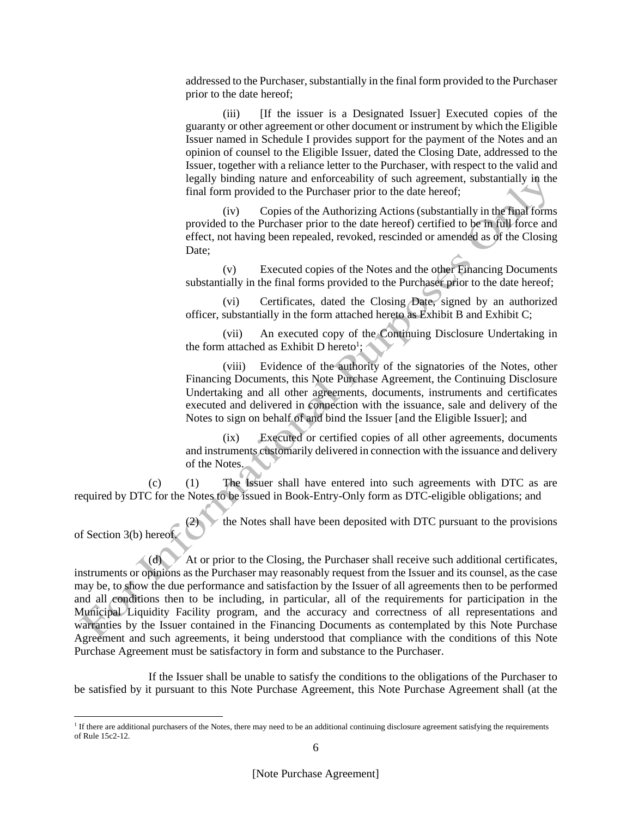addressed to the Purchaser, substantially in the final form provided to the Purchaser prior to the date hereof;

(iii) [If the issuer is a Designated Issuer] Executed copies of the guaranty or other agreement or other document or instrument by which the Eligible Issuer named in Schedule I provides support for the payment of the Notes and an opinion of counsel to the Eligible Issuer, dated the Closing Date, addressed to the Issuer, together with a reliance letter to the Purchaser, with respect to the valid and legally binding nature and enforceability of such agreement, substantially in the final form provided to the Purchaser prior to the date hereof;

(iv) Copies of the Authorizing Actions (substantially in the final forms provided to the Purchaser prior to the date hereof) certified to be in full force and effect, not having been repealed, revoked, rescinded or amended as of the Closing Date;

(v) Executed copies of the Notes and the other Financing Documents substantially in the final forms provided to the Purchaser prior to the date hereof;

(vi) Certificates, dated the Closing Date, signed by an authorized officer, substantially in the form attached hereto as Exhibit B and Exhibit C;

(vii) An executed copy of the Continuing Disclosure Undertaking in the form attached as Exhibit D hereto<sup>1</sup>;

(viii) Evidence of the authority of the signatories of the Notes, other Financing Documents, this Note Purchase Agreement, the Continuing Disclosure Undertaking and all other agreements, documents, instruments and certificates executed and delivered in connection with the issuance, sale and delivery of the Notes to sign on behalf of and bind the Issuer [and the Eligible Issuer]; and

(ix) Executed or certified copies of all other agreements, documents and instruments customarily delivered in connection with the issuance and delivery of the Notes.

(c) (1) The Issuer shall have entered into such agreements with DTC as are required by DTC for the Notes to be issued in Book-Entry-Only form as DTC-eligible obligations; and

 $\times$  the Notes shall have been deposited with DTC pursuant to the provisions of Section 3(b) hereof.  $\binom{2}{2}$ 

 $\triangle$  (d)  $\triangle$  At or prior to the Closing, the Purchaser shall receive such additional certificates, instruments or opinions as the Purchaser may reasonably request from the Issuer and its counsel, as the case may be, to show the due performance and satisfaction by the Issuer of all agreements then to be performed and all conditions then to be including, in particular, all of the requirements for participation in the Municipal Liquidity Facility program, and the accuracy and correctness of all representations and warranties by the Issuer contained in the Financing Documents as contemplated by this Note Purchase Agreement and such agreements, it being understood that compliance with the conditions of this Note Purchase Agreement must be satisfactory in form and substance to the Purchaser.

If the Issuer shall be unable to satisfy the conditions to the obligations of the Purchaser to be satisfied by it pursuant to this Note Purchase Agreement, this Note Purchase Agreement shall (at the

<sup>&</sup>lt;sup>1</sup> If there are additional purchasers of the Notes, there may need to be an additional continuing disclosure agreement satisfying the requirements of Rule 15c2-12.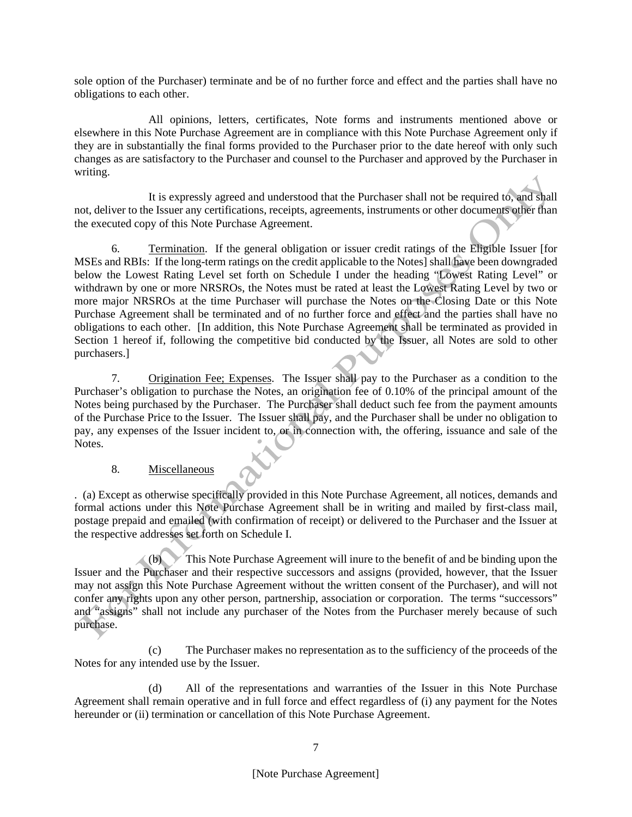sole option of the Purchaser) terminate and be of no further force and effect and the parties shall have no obligations to each other.

All opinions, letters, certificates, Note forms and instruments mentioned above or elsewhere in this Note Purchase Agreement are in compliance with this Note Purchase Agreement only if they are in substantially the final forms provided to the Purchaser prior to the date hereof with only such changes as are satisfactory to the Purchaser and counsel to the Purchaser and approved by the Purchaser in writing.

It is expressly agreed and understood that the Purchaser shall not be required to, and shall not, deliver to the Issuer any certifications, receipts, agreements, instruments or other documents other than the executed copy of this Note Purchase Agreement.

6. Termination. If the general obligation or issuer credit ratings of the Eligible Issuer [for MSEs and RBIs: If the long-term ratings on the credit applicable to the Notes] shall have been downgraded below the Lowest Rating Level set forth on Schedule I under the heading "Lowest Rating Level" or withdrawn by one or more NRSROs, the Notes must be rated at least the Lowest Rating Level by two or more major NRSROs at the time Purchaser will purchase the Notes on the Closing Date or this Note Purchase Agreement shall be terminated and of no further force and effect and the parties shall have no obligations to each other. [In addition, this Note Purchase Agreement shall be terminated as provided in Section 1 hereof if, following the competitive bid conducted by the Issuer, all Notes are sold to other purchasers.]

7. Origination Fee; Expenses. The Issuer shall pay to the Purchaser as a condition to the Purchaser's obligation to purchase the Notes, an origination fee of 0.10% of the principal amount of the Notes being purchased by the Purchaser. The Purchaser shall deduct such fee from the payment amounts of the Purchase Price to the Issuer. The Issuer shall pay, and the Purchaser shall be under no obligation to pay, any expenses of the Issuer incident to, or in connection with, the offering, issuance and sale of the Notes.

## 8. Miscellaneous

. (a) Except as otherwise specifically provided in this Note Purchase Agreement, all notices, demands and formal actions under this Note Purchase Agreement shall be in writing and mailed by first-class mail, postage prepaid and emailed (with confirmation of receipt) or delivered to the Purchaser and the Issuer at the respective addresses set forth on Schedule I.

 $(6)$  This Note Purchase Agreement will inure to the benefit of and be binding upon the Issuer and the Purchaser and their respective successors and assigns (provided, however, that the Issuer may not assign this Note Purchase Agreement without the written consent of the Purchaser), and will not confer any rights upon any other person, partnership, association or corporation. The terms "successors" and "assigns" shall not include any purchaser of the Notes from the Purchaser merely because of such purchase.

(c) The Purchaser makes no representation as to the sufficiency of the proceeds of the Notes for any intended use by the Issuer.

(d) All of the representations and warranties of the Issuer in this Note Purchase Agreement shall remain operative and in full force and effect regardless of (i) any payment for the Notes hereunder or (ii) termination or cancellation of this Note Purchase Agreement.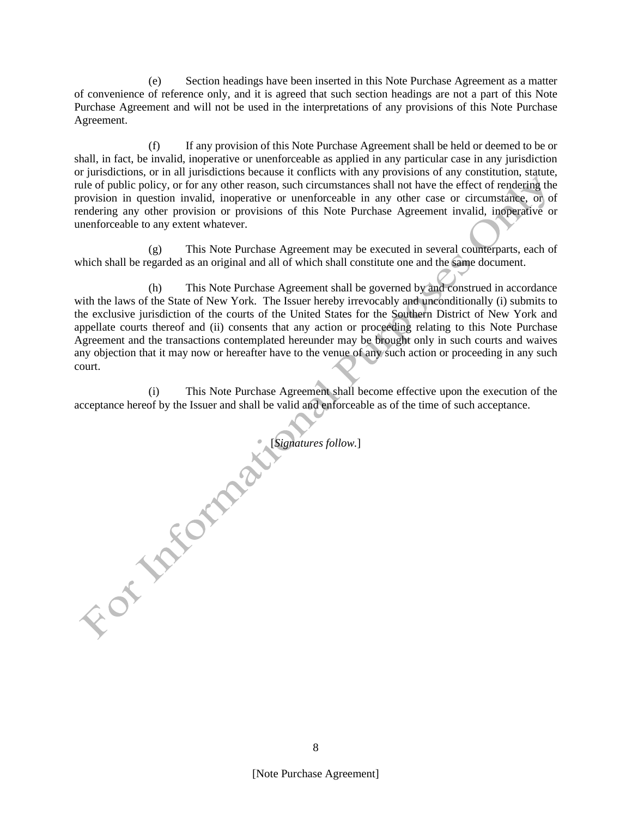(e) Section headings have been inserted in this Note Purchase Agreement as a matter of convenience of reference only, and it is agreed that such section headings are not a part of this Note Purchase Agreement and will not be used in the interpretations of any provisions of this Note Purchase Agreement.

(f) If any provision of this Note Purchase Agreement shall be held or deemed to be or shall, in fact, be invalid, inoperative or unenforceable as applied in any particular case in any jurisdiction or jurisdictions, or in all jurisdictions because it conflicts with any provisions of any constitution, statute, rule of public policy, or for any other reason, such circumstances shall not have the effect of rendering the provision in question invalid, inoperative or unenforceable in any other case or circumstance, or of rendering any other provision or provisions of this Note Purchase Agreement invalid, inoperative or unenforceable to any extent whatever.

(g) This Note Purchase Agreement may be executed in several counterparts, each of which shall be regarded as an original and all of which shall constitute one and the same document.

(h) This Note Purchase Agreement shall be governed by and construed in accordance with the laws of the State of New York. The Issuer hereby irrevocably and unconditionally (i) submits to the exclusive jurisdiction of the courts of the United States for the Southern District of New York and appellate courts thereof and (ii) consents that any action or proceeding relating to this Note Purchase Agreement and the transactions contemplated hereunder may be brought only in such courts and waives any objection that it may now or hereafter have to the venue of any such action or proceeding in any such court.

This Note Purchase Agreement shall become effective upon the execution of the acceptance hereof by the Issuer and shall be valid and enforceable as of the time of such acceptance.

[*Signatures follow.*]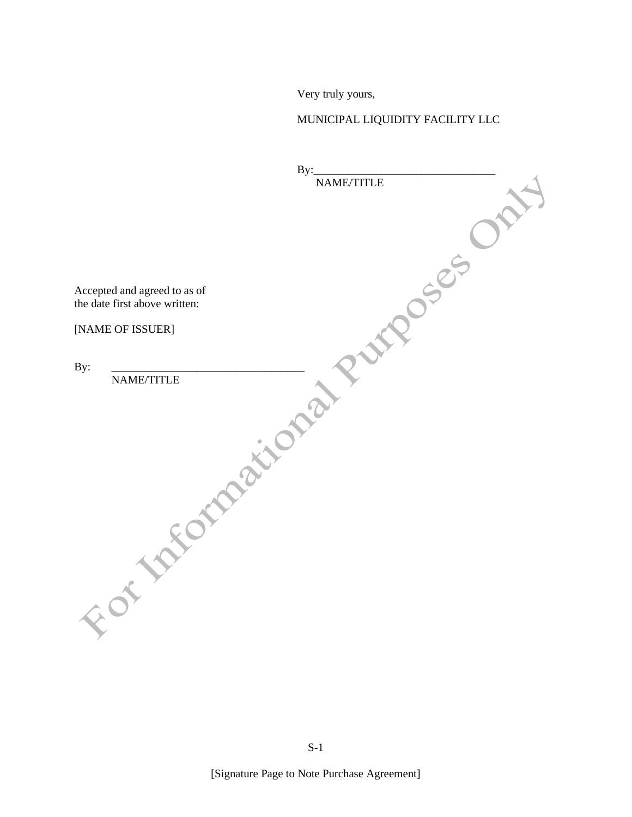Very truly yours,

# MUNICIPAL LIQUIDITY FACILITY LLC

| By:                           |  |
|-------------------------------|--|
| NAME/TITLE                    |  |
|                               |  |
|                               |  |
|                               |  |
|                               |  |
|                               |  |
|                               |  |
| Accepted and agreed to as of  |  |
| the date first above written: |  |
|                               |  |
| DOS ES<br>[NAME OF ISSUER]    |  |
|                               |  |
|                               |  |
| By:                           |  |
| NAME/TITLE                    |  |
|                               |  |
|                               |  |
|                               |  |
|                               |  |
|                               |  |
|                               |  |
|                               |  |
|                               |  |
|                               |  |
|                               |  |
|                               |  |
|                               |  |
|                               |  |
|                               |  |
|                               |  |
|                               |  |
|                               |  |
| Formation:                    |  |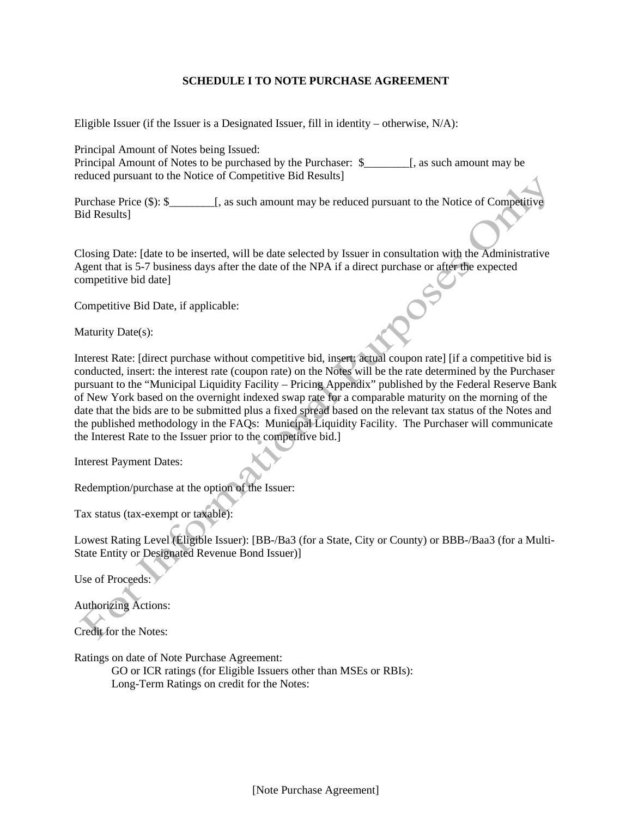## **SCHEDULE I TO NOTE PURCHASE AGREEMENT**

Eligible Issuer (if the Issuer is a Designated Issuer, fill in identity – otherwise, N/A):

Principal Amount of Notes being Issued: Principal Amount of Notes to be purchased by the Purchaser: \$\_\_\_\_\_\_\_\_[, as such amount may be reduced pursuant to the Notice of Competitive Bid Results]

Purchase Price (\$): \$\_\_\_\_\_\_\_\_[, as such amount may be reduced pursuant to the Notice of Competitive Bid Results]

Closing Date: [date to be inserted, will be date selected by Issuer in consultation with the Administrative Agent that is 5-7 business days after the date of the NPA if a direct purchase or after the expected competitive bid date]

Competitive Bid Date, if applicable:

Maturity Date(s):

Interest Rate: [direct purchase without competitive bid, insert: actual coupon rate] [if a competitive bid is conducted, insert: the interest rate (coupon rate) on the Notes will be the rate determined by the Purchaser pursuant to the "Municipal Liquidity Facility – Pricing Appendix" published by the Federal Reserve Bank of New York based on the overnight indexed swap rate for a comparable maturity on the morning of the date that the bids are to be submitted plus a fixed spread based on the relevant tax status of the Notes and the published methodology in the FAQs: Municipal Liquidity Facility. The Purchaser will communicate the Interest Rate to the Issuer prior to the competitive bid.]

Interest Payment Dates:

Redemption/purchase at the option of the Issuer:

Tax status (tax-exempt or taxable):

Lowest Rating Level (Eligible Issuer): [BB-/Ba3 (for a State, City or County) or BBB-/Baa3 (for a Multi-State Entity or Designated Revenue Bond Issuer)]

Use of Proceeds:

Authorizing Actions:

Credit for the Notes:

Ratings on date of Note Purchase Agreement:

GO or ICR ratings (for Eligible Issuers other than MSEs or RBIs): Long-Term Ratings on credit for the Notes:

[Note Purchase Agreement]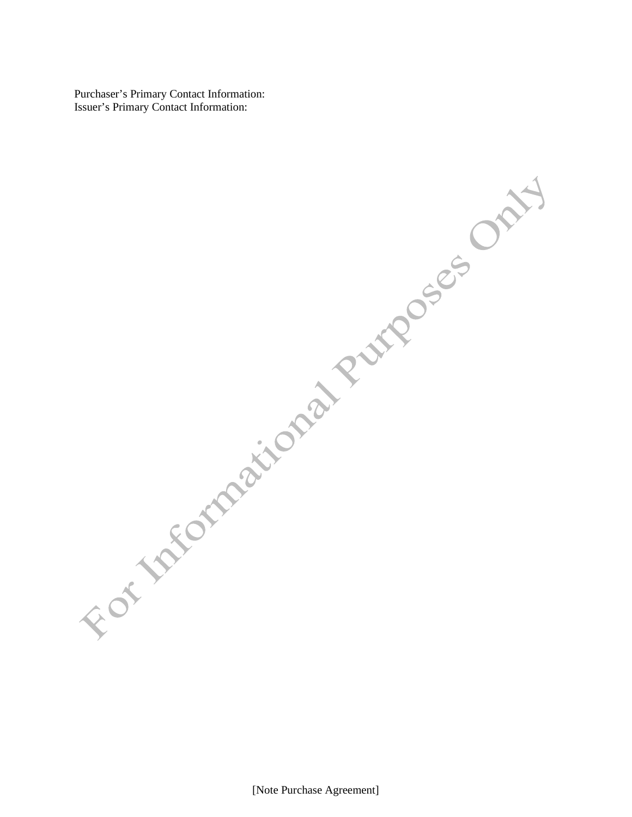Purchaser's Primary Contact Information: Issuer's Primary Contact Information: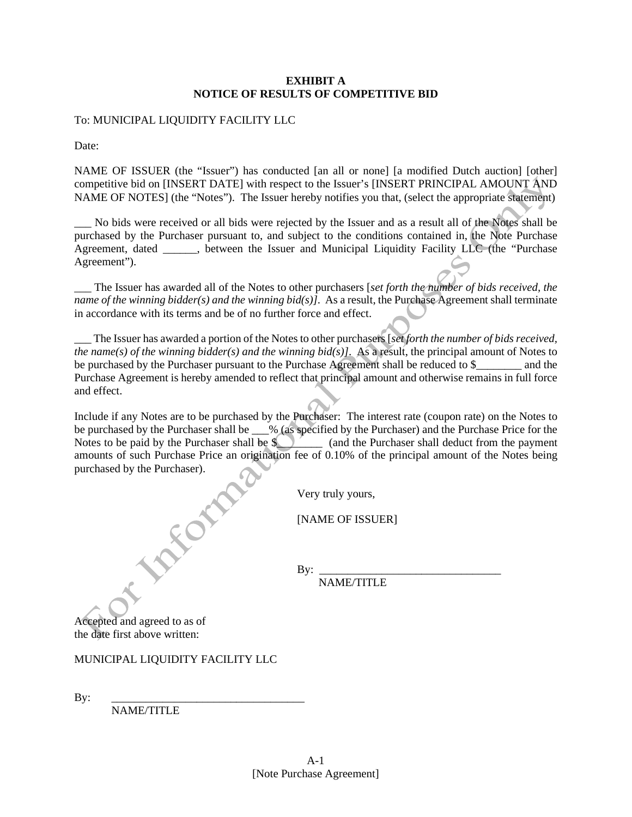## **EXHIBIT A NOTICE OF RESULTS OF COMPETITIVE BID**

To: MUNICIPAL LIQUIDITY FACILITY LLC

Date:

NAME OF ISSUER (the "Issuer") has conducted [an all or none] [a modified Dutch auction] [other] competitive bid on [INSERT DATE] with respect to the Issuer's [INSERT PRINCIPAL AMOUNT AND NAME OF NOTES] (the "Notes"). The Issuer hereby notifies you that, (select the appropriate statement)

No bids were received or all bids were rejected by the Issuer and as a result all of the Notes shall be purchased by the Purchaser pursuant to, and subject to the conditions contained in, the Note Purchase Agreement, dated \_\_\_\_\_\_, between the Issuer and Municipal Liquidity Facility LLC (the "Purchase Agreement").

\_\_\_ The Issuer has awarded all of the Notes to other purchasers [*set forth the number of bids received, the name of the winning bidder(s) and the winning bid(s)]*. As a result, the Purchase Agreement shall terminate in accordance with its terms and be of no further force and effect.

\_\_\_ The Issuer has awarded a portion of the Notes to other purchasers [*set forth the number of bids received, the name(s) of the winning bidder(s) and the winning bid(s)]*. As a result, the principal amount of Notes to be purchased by the Purchaser pursuant to the Purchase Agreement shall be reduced to \$ and the Purchase Agreement is hereby amended to reflect that principal amount and otherwise remains in full force and effect.

Include if any Notes are to be purchased by the Purchaser: The interest rate (coupon rate) on the Notes to be purchased by the Purchaser shall be \_\_\_% (as specified by the Purchaser) and the Purchase Price for the Notes to be paid by the Purchaser shall be  $\mathcal{L}$  (and the Purchaser shall deduct from the payment amounts of such Purchase Price an origination fee of 0.10% of the principal amount of the Notes being purchased by the Purchaser).

Very truly yours,

[NAME OF ISSUER]

By: \_\_\_\_\_\_\_\_\_\_\_\_\_\_\_\_\_\_\_\_\_\_\_\_\_\_\_\_\_\_\_\_ NAME/TITLE

Accepted and agreed to as of the date first above written:

## MUNICIPAL LIQUIDITY FACILITY LLC

LANDER

By: \_\_\_\_\_\_\_\_\_\_\_\_\_\_\_\_\_\_\_\_\_\_\_\_\_\_\_\_\_\_\_\_\_\_

NAME/TITLE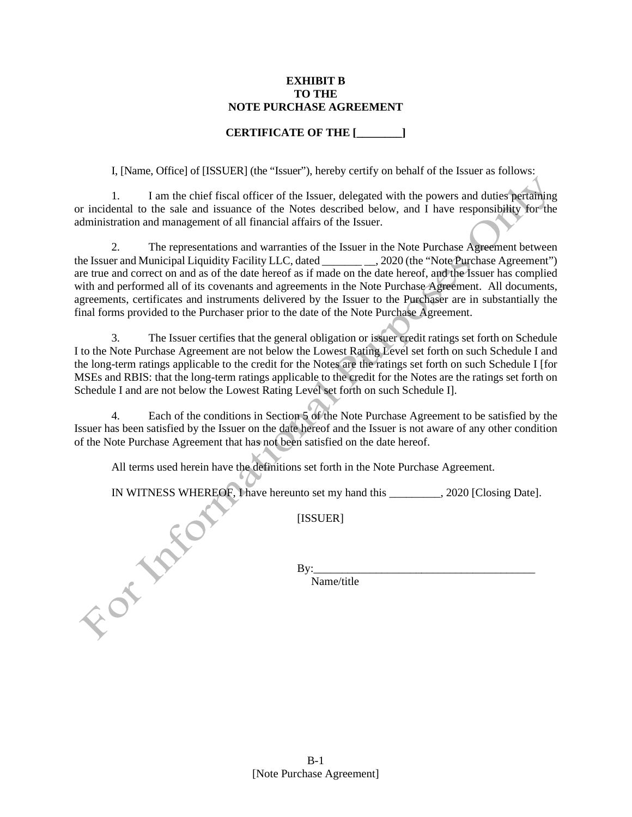#### **EXHIBIT B TO THE NOTE PURCHASE AGREEMENT**

# **CERTIFICATE OF THE [\_\_\_\_\_\_\_\_]**

I, [Name, Office] of [ISSUER] (the "Issuer"), hereby certify on behalf of the Issuer as follows:

1. I am the chief fiscal officer of the Issuer, delegated with the powers and duties pertaining or incidental to the sale and issuance of the Notes described below, and I have responsibility for the administration and management of all financial affairs of the Issuer.

2. The representations and warranties of the Issuer in the Note Purchase Agreement between the Issuer and Municipal Liquidity Facility LLC, dated \_\_\_\_\_\_\_ \_\_, 2020 (the "Note Purchase Agreement") are true and correct on and as of the date hereof as if made on the date hereof, and the Issuer has complied with and performed all of its covenants and agreements in the Note Purchase Agreement. All documents, agreements, certificates and instruments delivered by the Issuer to the Purchaser are in substantially the final forms provided to the Purchaser prior to the date of the Note Purchase Agreement.

3. The Issuer certifies that the general obligation or issuer credit ratings set forth on Schedule I to the Note Purchase Agreement are not below the Lowest Rating Level set forth on such Schedule I and the long-term ratings applicable to the credit for the Notes are the ratings set forth on such Schedule I [for MSEs and RBIS: that the long-term ratings applicable to the credit for the Notes are the ratings set forth on Schedule I and are not below the Lowest Rating Level set forth on such Schedule I].

4. Each of the conditions in Section 5 of the Note Purchase Agreement to be satisfied by the Issuer has been satisfied by the Issuer on the date hereof and the Issuer is not aware of any other condition of the Note Purchase Agreement that has not been satisfied on the date hereof.

All terms used herein have the definitions set forth in the Note Purchase Agreement.

IN WITNESS WHEREOF, I have hereunto set my hand this \_\_\_\_\_\_\_, 2020 [Closing Date].<br>
[ISSUER]<br>
By:<br>
Name/title

[ISSUER]

By:\_\_\_\_\_\_\_\_\_\_\_\_\_\_\_\_\_\_\_\_\_\_\_\_\_\_\_\_\_\_\_\_\_\_\_\_\_\_\_

Name/title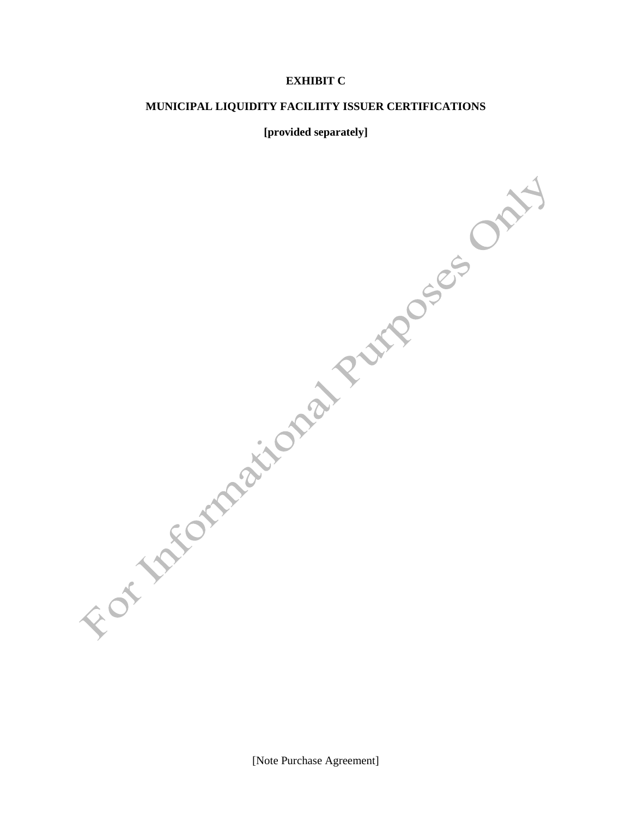# **EXHIBIT C**

#### **MUNICIPAL LIQUIDITY FACILIITY ISSUER CERTIFICATIONS**

#### **[provided separately]**

[Note Purchase Agreement]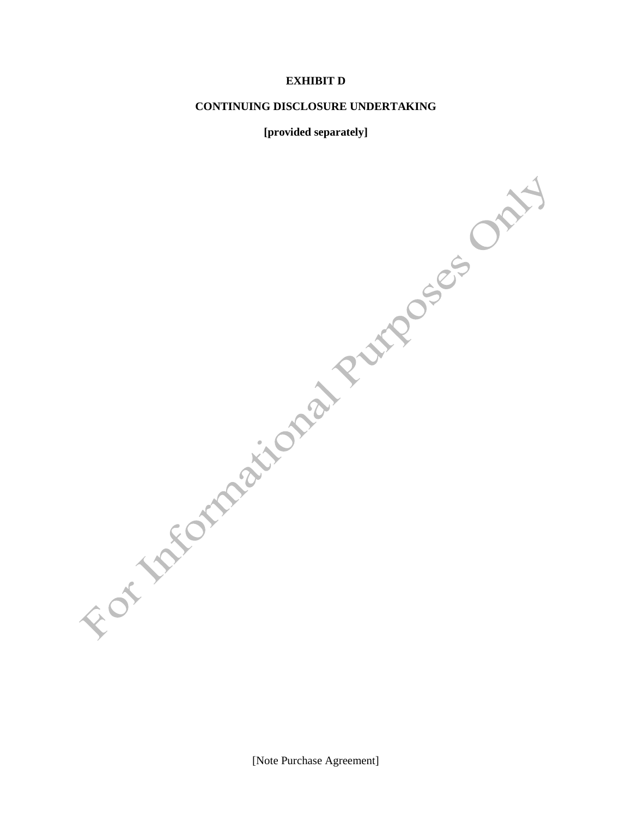# **EXHIBIT D**

#### **CONTINUING DISCLOSURE UNDERTAKING**

#### **[provided separately]**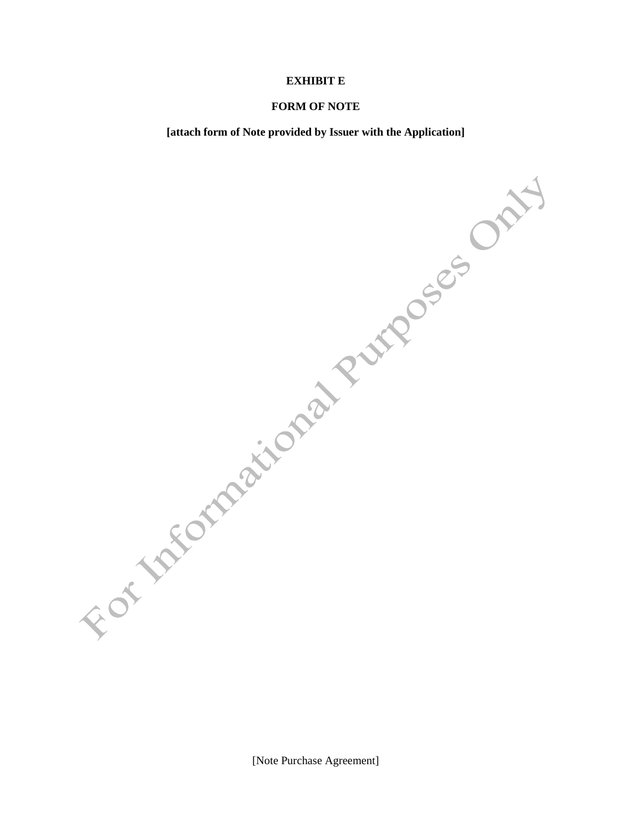#### **EXHIBIT E**

#### **FORM OF NOTE**

**[attach form of Note provided by Issuer with the Application]**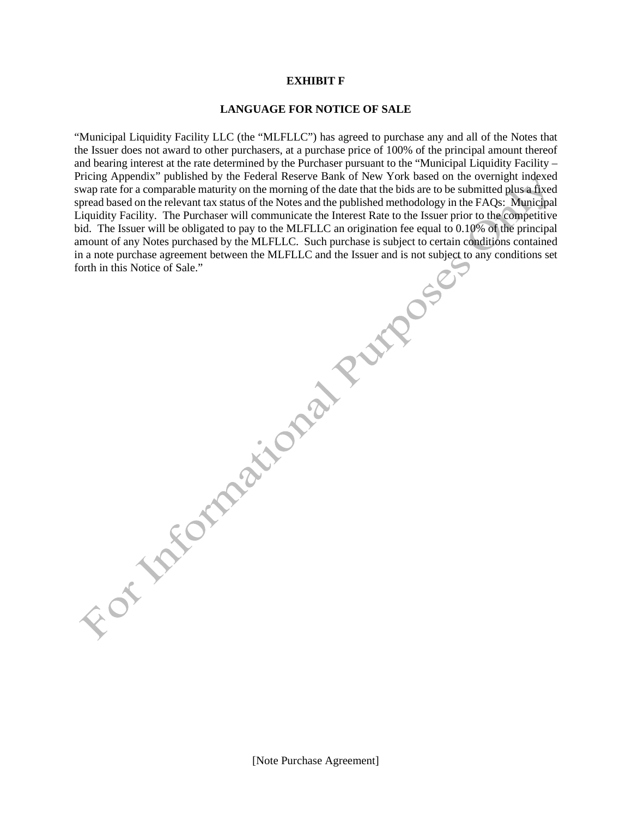#### **EXHIBIT F**

#### **LANGUAGE FOR NOTICE OF SALE**

"Municipal Liquidity Facility LLC (the "MLFLLC") has agreed to purchase any and all of the Notes that the Issuer does not award to other purchasers, at a purchase price of 100% of the principal amount thereof and bearing interest at the rate determined by the Purchaser pursuant to the "Municipal Liquidity Facility – Pricing Appendix" published by the Federal Reserve Bank of New York based on the overnight indexed swap rate for a comparable maturity on the morning of the date that the bids are to be submitted plus a fixed spread based on the relevant tax status of the Notes and the published methodology in the FAQs: Municipal Liquidity Facility. The Purchaser will communicate the Interest Rate to the Issuer prior to the competitive bid. The Issuer will be obligated to pay to the MLFLLC an origination fee equal to 0.10% of the principal amount of any Notes purchased by the MLFLLC. Such purchase is subject to certain conditions contained in a note purchase agreement between the MLFLLC and the Issuer and is not subject to any conditions set forth in this Notice of Sale."

[Note Purchase Agreement]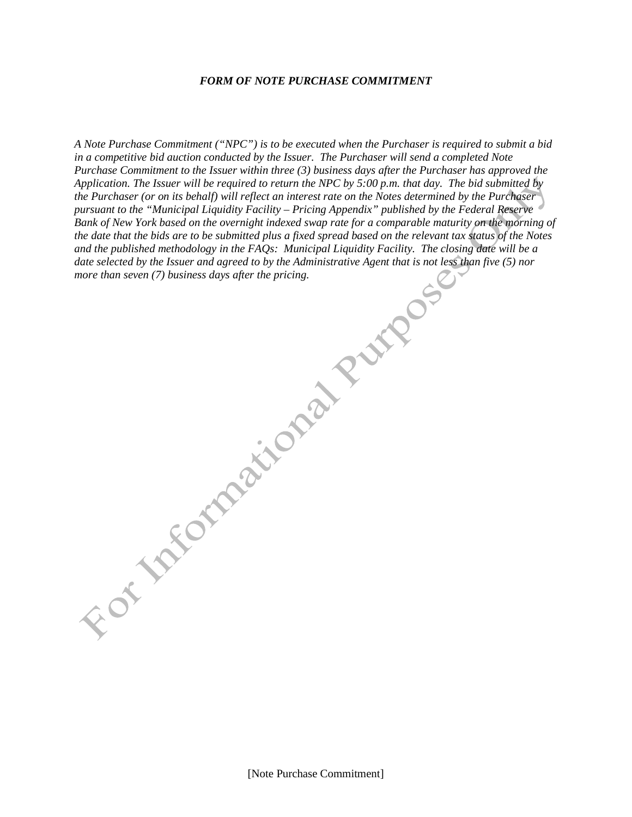#### *FORM OF NOTE PURCHASE COMMITMENT*

*A Note Purchase Commitment ("NPC") is to be executed when the Purchaser is required to submit a bid in a competitive bid auction conducted by the Issuer. The Purchaser will send a completed Note Purchase Commitment to the Issuer within three (3) business days after the Purchaser has approved the Application. The Issuer will be required to return the NPC by 5:00 p.m. that day. The bid submitted by the Purchaser (or on its behalf) will reflect an interest rate on the Notes determined by the Purchaser pursuant to the "Municipal Liquidity Facility – Pricing Appendix" published by the Federal Reserve Bank of New York based on the overnight indexed swap rate for a comparable maturity on the morning of the date that the bids are to be submitted plus a fixed spread based on the relevant tax status of the Notes and the published methodology in the FAQs: Municipal Liquidity Facility. The closing date will be a date selected by the Issuer and agreed to by the Administrative Agent that is not less than five (5) nor mere than seven the price of the seven defending the more defending the price of the more defending to the price of the price of the price of the price of the price of the price of the price of the price of the price of t*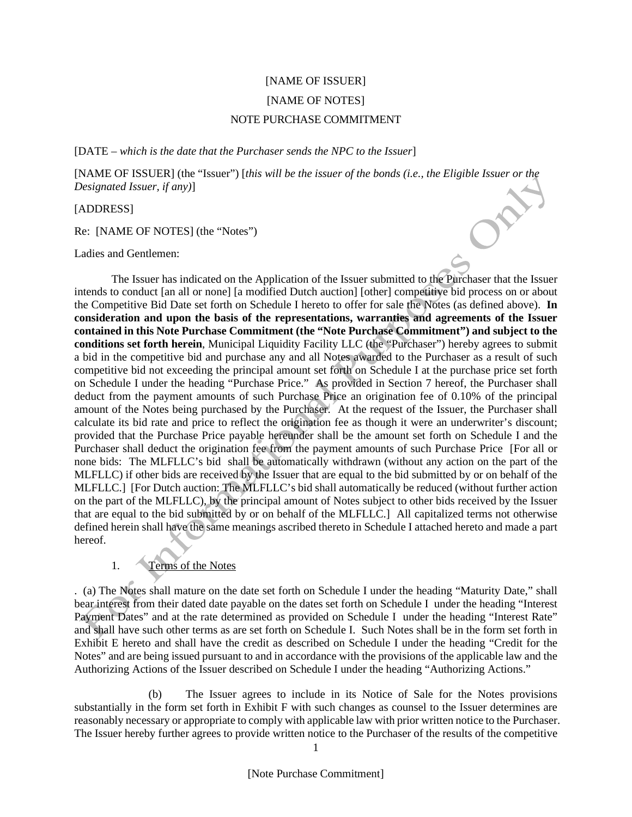# [NAME OF ISSUER] [NAME OF NOTES] NOTE PURCHASE COMMITMENT

[DATE – *which is the date that the Purchaser sends the NPC to the Issuer*]

[NAME OF ISSUER] (the "Issuer") [*this will be the issuer of the bonds (i.e., the Eligible Issuer or the Designated Issuer, if any)*]

[ADDRESS]

Re: [NAME OF NOTES] (the "Notes")

Ladies and Gentlemen:

The Issuer has indicated on the Application of the Issuer submitted to the Purchaser that the Issuer intends to conduct [an all or none] [a modified Dutch auction] [other] competitive bid process on or about the Competitive Bid Date set forth on Schedule I hereto to offer for sale the Notes (as defined above). **In consideration and upon the basis of the representations, warranties and agreements of the Issuer contained in this Note Purchase Commitment (the "Note Purchase Commitment") and subject to the conditions set forth herein**, Municipal Liquidity Facility LLC (the "Purchaser") hereby agrees to submit a bid in the competitive bid and purchase any and all Notes awarded to the Purchaser as a result of such competitive bid not exceeding the principal amount set forth on Schedule I at the purchase price set forth on Schedule I under the heading "Purchase Price." As provided in Section 7 hereof, the Purchaser shall deduct from the payment amounts of such Purchase Price an origination fee of 0.10% of the principal amount of the Notes being purchased by the Purchaser. At the request of the Issuer, the Purchaser shall calculate its bid rate and price to reflect the origination fee as though it were an underwriter's discount; provided that the Purchase Price payable hereunder shall be the amount set forth on Schedule I and the Purchaser shall deduct the origination fee from the payment amounts of such Purchase Price [For all or none bids: The MLFLLC's bid shall be automatically withdrawn (without any action on the part of the MLFLLC) if other bids are received by the Issuer that are equal to the bid submitted by or on behalf of the MLFLLC.] [For Dutch auction: The MLFLLC's bid shall automatically be reduced (without further action on the part of the MLFLLC), by the principal amount of Notes subject to other bids received by the Issuer that are equal to the bid submitted by or on behalf of the MLFLLC.] All capitalized terms not otherwise defined herein shall have the same meanings ascribed thereto in Schedule I attached hereto and made a part hereof.

# 1. Terms of the Notes

. (a) The Notes shall mature on the date set forth on Schedule I under the heading "Maturity Date," shall bear interest from their dated date payable on the dates set forth on Schedule I under the heading "Interest Payment Dates" and at the rate determined as provided on Schedule I under the heading "Interest Rate" and shall have such other terms as are set forth on Schedule I. Such Notes shall be in the form set forth in Exhibit E hereto and shall have the credit as described on Schedule I under the heading "Credit for the Notes" and are being issued pursuant to and in accordance with the provisions of the applicable law and the Authorizing Actions of the Issuer described on Schedule I under the heading "Authorizing Actions."

(b) The Issuer agrees to include in its Notice of Sale for the Notes provisions substantially in the form set forth in Exhibit F with such changes as counsel to the Issuer determines are reasonably necessary or appropriate to comply with applicable law with prior written notice to the Purchaser. The Issuer hereby further agrees to provide written notice to the Purchaser of the results of the competitive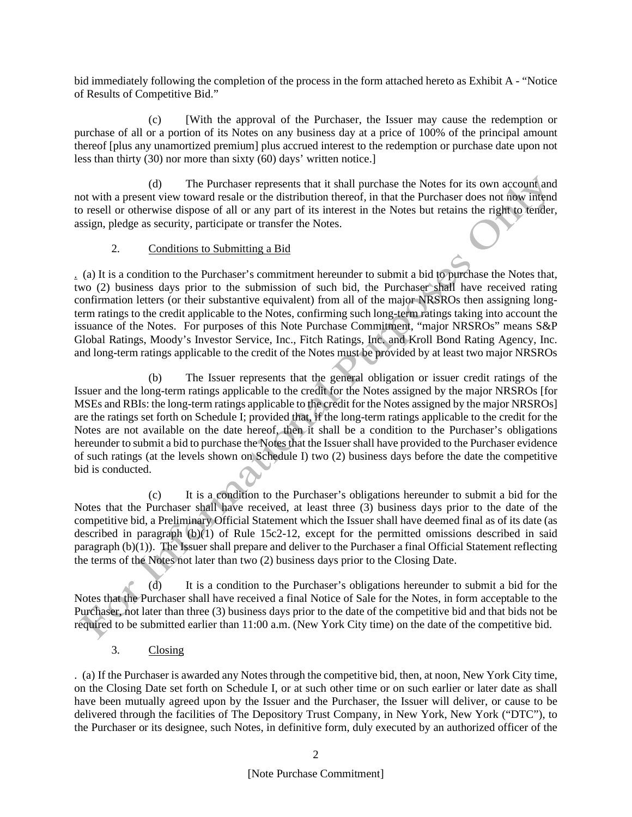bid immediately following the completion of the process in the form attached hereto as Exhibit A - "Notice of Results of Competitive Bid."

(c) [With the approval of the Purchaser, the Issuer may cause the redemption or purchase of all or a portion of its Notes on any business day at a price of 100% of the principal amount thereof [plus any unamortized premium] plus accrued interest to the redemption or purchase date upon not less than thirty (30) nor more than sixty (60) days' written notice.]

(d) The Purchaser represents that it shall purchase the Notes for its own account and not with a present view toward resale or the distribution thereof, in that the Purchaser does not now intend to resell or otherwise dispose of all or any part of its interest in the Notes but retains the right to tender, assign, pledge as security, participate or transfer the Notes.

# 2. Conditions to Submitting a Bid

. (a) It is a condition to the Purchaser's commitment hereunder to submit a bid to purchase the Notes that, two (2) business days prior to the submission of such bid, the Purchaser shall have received rating confirmation letters (or their substantive equivalent) from all of the major NRSROs then assigning longterm ratings to the credit applicable to the Notes, confirming such long-term ratings taking into account the issuance of the Notes. For purposes of this Note Purchase Commitment, "major NRSROs" means S&P Global Ratings, Moody's Investor Service, Inc., Fitch Ratings, Inc. and Kroll Bond Rating Agency, Inc. and long-term ratings applicable to the credit of the Notes must be provided by at least two major NRSROs

(b) The Issuer represents that the general obligation or issuer credit ratings of the Issuer and the long-term ratings applicable to the credit for the Notes assigned by the major NRSROs [for MSEs and RBIs: the long-term ratings applicable to the credit for the Notes assigned by the major NRSROs] are the ratings set forth on Schedule I; provided that, if the long-term ratings applicable to the credit for the Notes are not available on the date hereof, then it shall be a condition to the Purchaser's obligations hereunder to submit a bid to purchase the Notes that the Issuer shall have provided to the Purchaser evidence of such ratings (at the levels shown on Schedule I) two (2) business days before the date the competitive bid is conducted.

(c) It is a condition to the Purchaser's obligations hereunder to submit a bid for the Notes that the Purchaser shall have received, at least three (3) business days prior to the date of the competitive bid, a Preliminary Official Statement which the Issuer shall have deemed final as of its date (as described in paragraph (b)(1) of Rule 15c2-12, except for the permitted omissions described in said paragraph (b)(1)). The Issuer shall prepare and deliver to the Purchaser a final Official Statement reflecting the terms of the Notes not later than two (2) business days prior to the Closing Date.

(d) It is a condition to the Purchaser's obligations hereunder to submit a bid for the Notes that the Purchaser shall have received a final Notice of Sale for the Notes, in form acceptable to the Purchaser, not later than three (3) business days prior to the date of the competitive bid and that bids not be required to be submitted earlier than 11:00 a.m. (New York City time) on the date of the competitive bid.

3. Closing

. (a) If the Purchaser is awarded any Notes through the competitive bid, then, at noon, New York City time, on the Closing Date set forth on Schedule I, or at such other time or on such earlier or later date as shall have been mutually agreed upon by the Issuer and the Purchaser, the Issuer will deliver, or cause to be delivered through the facilities of The Depository Trust Company, in New York, New York ("DTC"), to the Purchaser or its designee, such Notes, in definitive form, duly executed by an authorized officer of the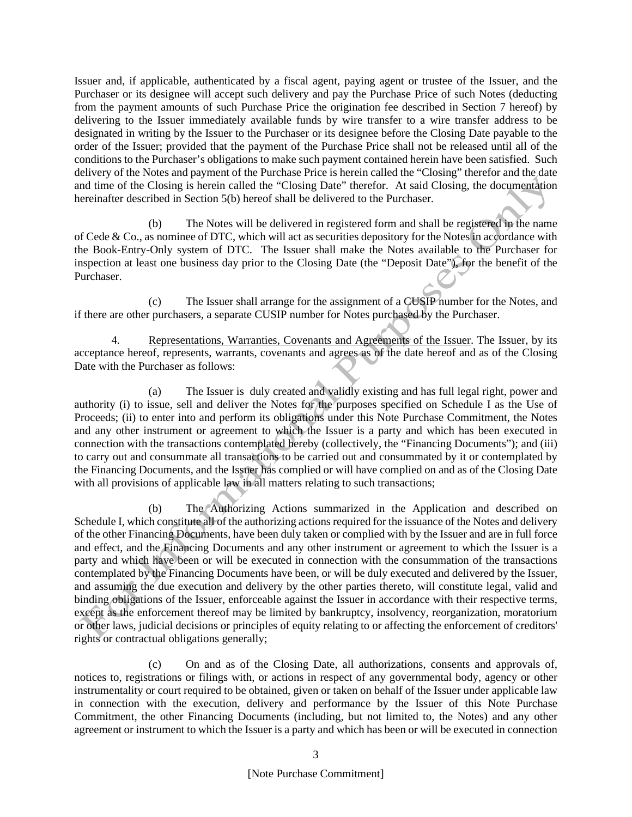Issuer and, if applicable, authenticated by a fiscal agent, paying agent or trustee of the Issuer, and the Purchaser or its designee will accept such delivery and pay the Purchase Price of such Notes (deducting from the payment amounts of such Purchase Price the origination fee described in Section 7 hereof) by delivering to the Issuer immediately available funds by wire transfer to a wire transfer address to be designated in writing by the Issuer to the Purchaser or its designee before the Closing Date payable to the order of the Issuer; provided that the payment of the Purchase Price shall not be released until all of the conditions to the Purchaser's obligations to make such payment contained herein have been satisfied. Such delivery of the Notes and payment of the Purchase Price is herein called the "Closing" therefor and the date and time of the Closing is herein called the "Closing Date" therefor. At said Closing, the documentation hereinafter described in Section 5(b) hereof shall be delivered to the Purchaser.

(b) The Notes will be delivered in registered form and shall be registered in the name of Cede & Co., as nominee of DTC, which will act as securities depository for the Notes in accordance with the Book-Entry-Only system of DTC. The Issuer shall make the Notes available to the Purchaser for inspection at least one business day prior to the Closing Date (the "Deposit Date"), for the benefit of the Purchaser.

(c) The Issuer shall arrange for the assignment of a CUSIP number for the Notes, and if there are other purchasers, a separate CUSIP number for Notes purchased by the Purchaser.

4. Representations, Warranties, Covenants and Agreements of the Issuer. The Issuer, by its acceptance hereof, represents, warrants, covenants and agrees as of the date hereof and as of the Closing Date with the Purchaser as follows:

(a) The Issuer is duly created and validly existing and has full legal right, power and authority (i) to issue, sell and deliver the Notes for the purposes specified on Schedule I as the Use of Proceeds; (ii) to enter into and perform its obligations under this Note Purchase Commitment, the Notes and any other instrument or agreement to which the Issuer is a party and which has been executed in connection with the transactions contemplated hereby (collectively, the "Financing Documents"); and (iii) to carry out and consummate all transactions to be carried out and consummated by it or contemplated by the Financing Documents, and the Issuer has complied or will have complied on and as of the Closing Date with all provisions of applicable law in all matters relating to such transactions;

(b) The Authorizing Actions summarized in the Application and described on Schedule I, which constitute all of the authorizing actions required for the issuance of the Notes and delivery of the other Financing Documents, have been duly taken or complied with by the Issuer and are in full force and effect, and the Financing Documents and any other instrument or agreement to which the Issuer is a party and which have been or will be executed in connection with the consummation of the transactions contemplated by the Financing Documents have been, or will be duly executed and delivered by the Issuer, and assuming the due execution and delivery by the other parties thereto, will constitute legal, valid and binding obligations of the Issuer, enforceable against the Issuer in accordance with their respective terms, except as the enforcement thereof may be limited by bankruptcy, insolvency, reorganization, moratorium or other laws, judicial decisions or principles of equity relating to or affecting the enforcement of creditors' rights or contractual obligations generally;

(c) On and as of the Closing Date, all authorizations, consents and approvals of, notices to, registrations or filings with, or actions in respect of any governmental body, agency or other instrumentality or court required to be obtained, given or taken on behalf of the Issuer under applicable law in connection with the execution, delivery and performance by the Issuer of this Note Purchase Commitment, the other Financing Documents (including, but not limited to, the Notes) and any other agreement or instrument to which the Issuer is a party and which has been or will be executed in connection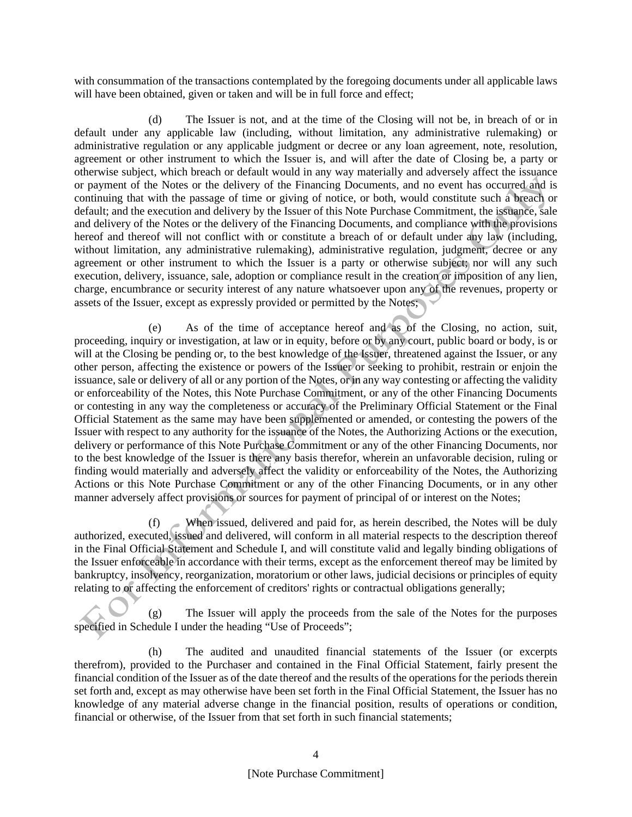with consummation of the transactions contemplated by the foregoing documents under all applicable laws will have been obtained, given or taken and will be in full force and effect;

(d) The Issuer is not, and at the time of the Closing will not be, in breach of or in default under any applicable law (including, without limitation, any administrative rulemaking) or administrative regulation or any applicable judgment or decree or any loan agreement, note, resolution, agreement or other instrument to which the Issuer is, and will after the date of Closing be, a party or otherwise subject, which breach or default would in any way materially and adversely affect the issuance or payment of the Notes or the delivery of the Financing Documents, and no event has occurred and is continuing that with the passage of time or giving of notice, or both, would constitute such a breach or default; and the execution and delivery by the Issuer of this Note Purchase Commitment, the issuance, sale and delivery of the Notes or the delivery of the Financing Documents, and compliance with the provisions hereof and thereof will not conflict with or constitute a breach of or default under any law (including, without limitation, any administrative rulemaking), administrative regulation, judgment, decree or any agreement or other instrument to which the Issuer is a party or otherwise subject; nor will any such execution, delivery, issuance, sale, adoption or compliance result in the creation or imposition of any lien, charge, encumbrance or security interest of any nature whatsoever upon any of the revenues, property or assets of the Issuer, except as expressly provided or permitted by the Notes;

(e) As of the time of acceptance hereof and as of the Closing, no action, suit, proceeding, inquiry or investigation, at law or in equity, before or by any court, public board or body, is or will at the Closing be pending or, to the best knowledge of the Issuer, threatened against the Issuer, or any other person, affecting the existence or powers of the Issuer or seeking to prohibit, restrain or enjoin the issuance, sale or delivery of all or any portion of the Notes, or in any way contesting or affecting the validity or enforceability of the Notes, this Note Purchase Commitment, or any of the other Financing Documents or contesting in any way the completeness or accuracy of the Preliminary Official Statement or the Final Official Statement as the same may have been supplemented or amended, or contesting the powers of the Issuer with respect to any authority for the issuance of the Notes, the Authorizing Actions or the execution, delivery or performance of this Note Purchase Commitment or any of the other Financing Documents, nor to the best knowledge of the Issuer is there any basis therefor, wherein an unfavorable decision, ruling or finding would materially and adversely affect the validity or enforceability of the Notes, the Authorizing Actions or this Note Purchase Commitment or any of the other Financing Documents, or in any other manner adversely affect provisions or sources for payment of principal of or interest on the Notes;

(f) When issued, delivered and paid for, as herein described, the Notes will be duly authorized, executed, issued and delivered, will conform in all material respects to the description thereof in the Final Official Statement and Schedule I, and will constitute valid and legally binding obligations of the Issuer enforceable in accordance with their terms, except as the enforcement thereof may be limited by bankruptcy, insolvency, reorganization, moratorium or other laws, judicial decisions or principles of equity relating to or affecting the enforcement of creditors' rights or contractual obligations generally;

(g) The Issuer will apply the proceeds from the sale of the Notes for the purposes specified in Schedule I under the heading "Use of Proceeds";

(h) The audited and unaudited financial statements of the Issuer (or excerpts therefrom), provided to the Purchaser and contained in the Final Official Statement, fairly present the financial condition of the Issuer as of the date thereof and the results of the operations for the periods therein set forth and, except as may otherwise have been set forth in the Final Official Statement, the Issuer has no knowledge of any material adverse change in the financial position, results of operations or condition, financial or otherwise, of the Issuer from that set forth in such financial statements;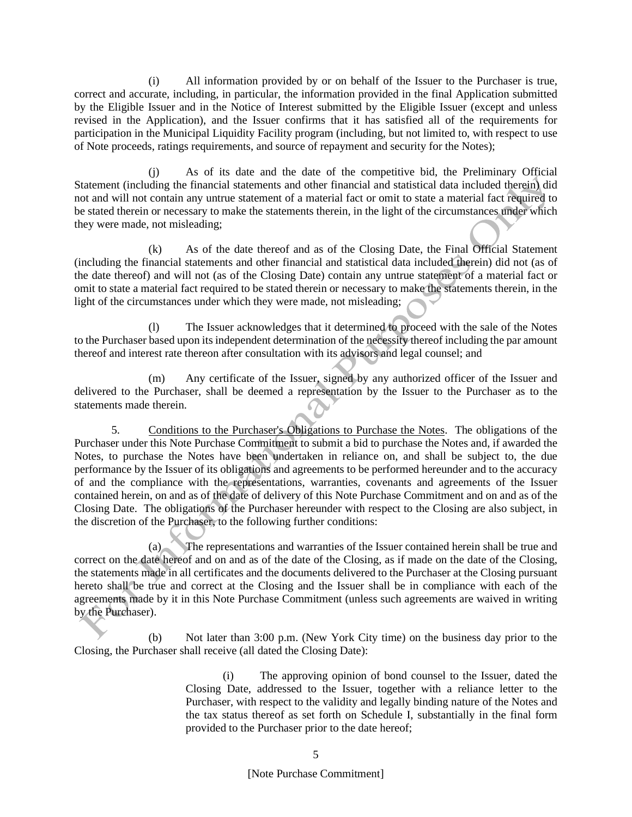(i) All information provided by or on behalf of the Issuer to the Purchaser is true, correct and accurate, including, in particular, the information provided in the final Application submitted by the Eligible Issuer and in the Notice of Interest submitted by the Eligible Issuer (except and unless revised in the Application), and the Issuer confirms that it has satisfied all of the requirements for participation in the Municipal Liquidity Facility program (including, but not limited to, with respect to use of Note proceeds, ratings requirements, and source of repayment and security for the Notes);

(j) As of its date and the date of the competitive bid, the Preliminary Official Statement (including the financial statements and other financial and statistical data included therein) did not and will not contain any untrue statement of a material fact or omit to state a material fact required to be stated therein or necessary to make the statements therein, in the light of the circumstances under which they were made, not misleading;

(k) As of the date thereof and as of the Closing Date, the Final Official Statement (including the financial statements and other financial and statistical data included therein) did not (as of the date thereof) and will not (as of the Closing Date) contain any untrue statement of a material fact or omit to state a material fact required to be stated therein or necessary to make the statements therein, in the light of the circumstances under which they were made, not misleading;

(l) The Issuer acknowledges that it determined to proceed with the sale of the Notes to the Purchaser based upon its independent determination of the necessity thereof including the par amount thereof and interest rate thereon after consultation with its advisors and legal counsel; and

(m) Any certificate of the Issuer, signed by any authorized officer of the Issuer and delivered to the Purchaser, shall be deemed a representation by the Issuer to the Purchaser as to the statements made therein.

5. Conditions to the Purchaser's Obligations to Purchase the Notes. The obligations of the Purchaser under this Note Purchase Commitment to submit a bid to purchase the Notes and, if awarded the Notes, to purchase the Notes have been undertaken in reliance on, and shall be subject to, the due performance by the Issuer of its obligations and agreements to be performed hereunder and to the accuracy of and the compliance with the representations, warranties, covenants and agreements of the Issuer contained herein, on and as of the date of delivery of this Note Purchase Commitment and on and as of the Closing Date. The obligations of the Purchaser hereunder with respect to the Closing are also subject, in the discretion of the Purchaser, to the following further conditions:

(a) The representations and warranties of the Issuer contained herein shall be true and correct on the date hereof and on and as of the date of the Closing, as if made on the date of the Closing, the statements made in all certificates and the documents delivered to the Purchaser at the Closing pursuant hereto shall be true and correct at the Closing and the Issuer shall be in compliance with each of the agreements made by it in this Note Purchase Commitment (unless such agreements are waived in writing by the Purchaser).

(b) Not later than 3:00 p.m. (New York City time) on the business day prior to the Closing, the Purchaser shall receive (all dated the Closing Date):

> (i) The approving opinion of bond counsel to the Issuer, dated the Closing Date, addressed to the Issuer, together with a reliance letter to the Purchaser, with respect to the validity and legally binding nature of the Notes and the tax status thereof as set forth on Schedule I, substantially in the final form provided to the Purchaser prior to the date hereof;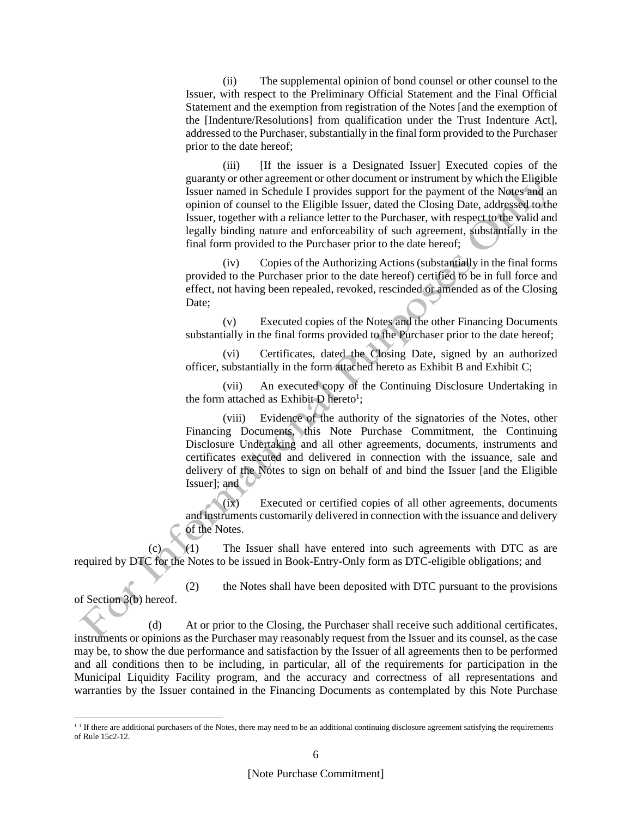(ii) The supplemental opinion of bond counsel or other counsel to the Issuer, with respect to the Preliminary Official Statement and the Final Official Statement and the exemption from registration of the Notes [and the exemption of the [Indenture/Resolutions] from qualification under the Trust Indenture Act], addressed to the Purchaser, substantially in the final form provided to the Purchaser prior to the date hereof;

(iii) [If the issuer is a Designated Issuer] Executed copies of the guaranty or other agreement or other document or instrument by which the Eligible Issuer named in Schedule I provides support for the payment of the Notes and an opinion of counsel to the Eligible Issuer, dated the Closing Date, addressed to the Issuer, together with a reliance letter to the Purchaser, with respect to the valid and legally binding nature and enforceability of such agreement, substantially in the final form provided to the Purchaser prior to the date hereof;

(iv) Copies of the Authorizing Actions (substantially in the final forms provided to the Purchaser prior to the date hereof) certified to be in full force and effect, not having been repealed, revoked, rescinded or amended as of the Closing Date;

(v) Executed copies of the Notes and the other Financing Documents substantially in the final forms provided to the Purchaser prior to the date hereof;

(vi) Certificates, dated the Closing Date, signed by an authorized officer, substantially in the form attached hereto as Exhibit B and Exhibit C;

(vii) An executed copy of the Continuing Disclosure Undertaking in the form attached as Exhibit  $D$  hereto<sup>1</sup>;

(viii) Evidence of the authority of the signatories of the Notes, other Financing Documents, this Note Purchase Commitment, the Continuing Disclosure Undertaking and all other agreements, documents, instruments and certificates executed and delivered in connection with the issuance, sale and delivery of the Notes to sign on behalf of and bind the Issuer [and the Eligible Issuer]; and

(ix) Executed or certified copies of all other agreements, documents and instruments customarily delivered in connection with the issuance and delivery of the Notes.

(c) (1) The Issuer shall have entered into such agreements with DTC as are required by DTC for the Notes to be issued in Book-Entry-Only form as DTC-eligible obligations; and

(2) the Notes shall have been deposited with DTC pursuant to the provisions of Section 3(b) hereof.

(d) At or prior to the Closing, the Purchaser shall receive such additional certificates, instruments or opinions as the Purchaser may reasonably request from the Issuer and its counsel, as the case may be, to show the due performance and satisfaction by the Issuer of all agreements then to be performed and all conditions then to be including, in particular, all of the requirements for participation in the Municipal Liquidity Facility program, and the accuracy and correctness of all representations and warranties by the Issuer contained in the Financing Documents as contemplated by this Note Purchase

 $1<sup>1</sup>$  If there are additional purchasers of the Notes, there may need to be an additional continuing disclosure agreement satisfying the requirements of Rule 15c2-12.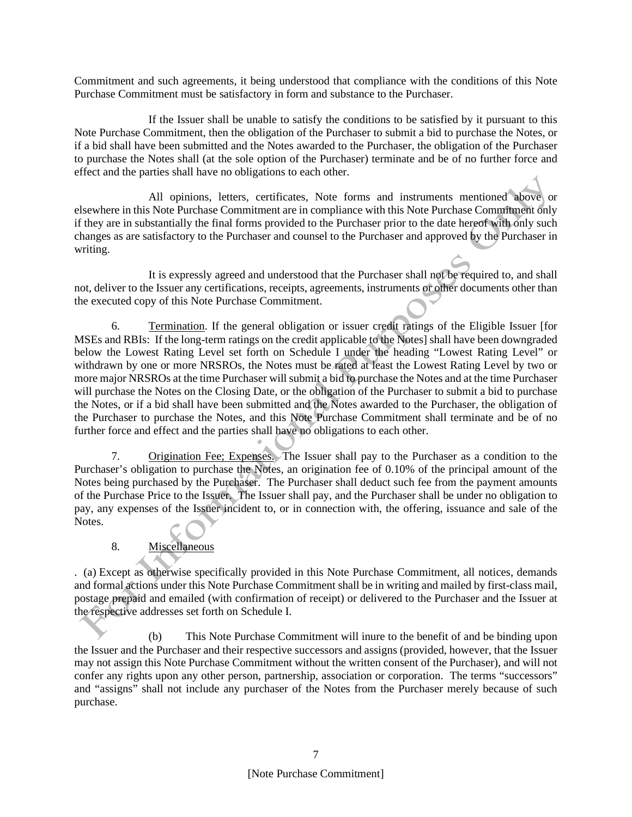Commitment and such agreements, it being understood that compliance with the conditions of this Note Purchase Commitment must be satisfactory in form and substance to the Purchaser.

If the Issuer shall be unable to satisfy the conditions to be satisfied by it pursuant to this Note Purchase Commitment, then the obligation of the Purchaser to submit a bid to purchase the Notes, or if a bid shall have been submitted and the Notes awarded to the Purchaser, the obligation of the Purchaser to purchase the Notes shall (at the sole option of the Purchaser) terminate and be of no further force and effect and the parties shall have no obligations to each other.

All opinions, letters, certificates, Note forms and instruments mentioned above or elsewhere in this Note Purchase Commitment are in compliance with this Note Purchase Commitment only if they are in substantially the final forms provided to the Purchaser prior to the date hereof with only such changes as are satisfactory to the Purchaser and counsel to the Purchaser and approved by the Purchaser in writing.

It is expressly agreed and understood that the Purchaser shall not be required to, and shall not, deliver to the Issuer any certifications, receipts, agreements, instruments or other documents other than the executed copy of this Note Purchase Commitment.

6. Termination. If the general obligation or issuer credit ratings of the Eligible Issuer [for MSEs and RBIs: If the long-term ratings on the credit applicable to the Notes] shall have been downgraded below the Lowest Rating Level set forth on Schedule I under the heading "Lowest Rating Level" or withdrawn by one or more NRSROs, the Notes must be rated at least the Lowest Rating Level by two or more major NRSROs at the time Purchaser will submit a bid to purchase the Notes and at the time Purchaser will purchase the Notes on the Closing Date, or the obligation of the Purchaser to submit a bid to purchase the Notes, or if a bid shall have been submitted and the Notes awarded to the Purchaser, the obligation of the Purchaser to purchase the Notes, and this Note Purchase Commitment shall terminate and be of no further force and effect and the parties shall have no obligations to each other.

7. Origination Fee; Expenses. The Issuer shall pay to the Purchaser as a condition to the Purchaser's obligation to purchase the Notes, an origination fee of 0.10% of the principal amount of the Notes being purchased by the Purchaser. The Purchaser shall deduct such fee from the payment amounts of the Purchase Price to the Issuer. The Issuer shall pay, and the Purchaser shall be under no obligation to pay, any expenses of the Issuer incident to, or in connection with, the offering, issuance and sale of the Notes.

# 8. Miscellaneous

. (a) Except as otherwise specifically provided in this Note Purchase Commitment, all notices, demands and formal actions under this Note Purchase Commitment shall be in writing and mailed by first-class mail, postage prepaid and emailed (with confirmation of receipt) or delivered to the Purchaser and the Issuer at the respective addresses set forth on Schedule I.

(b) This Note Purchase Commitment will inure to the benefit of and be binding upon the Issuer and the Purchaser and their respective successors and assigns (provided, however, that the Issuer may not assign this Note Purchase Commitment without the written consent of the Purchaser), and will not confer any rights upon any other person, partnership, association or corporation. The terms "successors" and "assigns" shall not include any purchaser of the Notes from the Purchaser merely because of such purchase.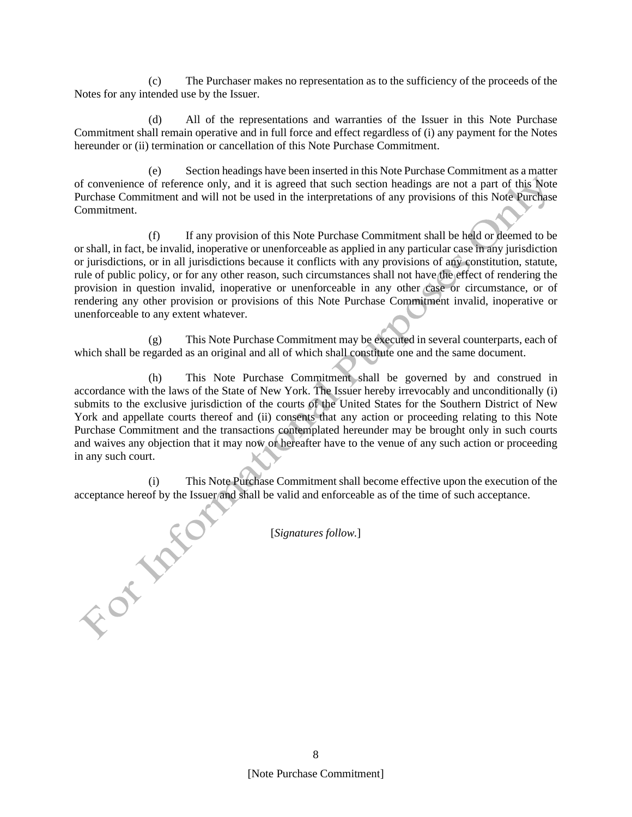(c) The Purchaser makes no representation as to the sufficiency of the proceeds of the Notes for any intended use by the Issuer.

(d) All of the representations and warranties of the Issuer in this Note Purchase Commitment shall remain operative and in full force and effect regardless of (i) any payment for the Notes hereunder or (ii) termination or cancellation of this Note Purchase Commitment.

Section headings have been inserted in this Note Purchase Commitment as a matter of convenience of reference only, and it is agreed that such section headings are not a part of this Note Purchase Commitment and will not be used in the interpretations of any provisions of this Note Purchase Commitment.

(f) If any provision of this Note Purchase Commitment shall be held or deemed to be or shall, in fact, be invalid, inoperative or unenforceable as applied in any particular case in any jurisdiction or jurisdictions, or in all jurisdictions because it conflicts with any provisions of any constitution, statute, rule of public policy, or for any other reason, such circumstances shall not have the effect of rendering the provision in question invalid, inoperative or unenforceable in any other case or circumstance, or of rendering any other provision or provisions of this Note Purchase Commitment invalid, inoperative or unenforceable to any extent whatever.

(g) This Note Purchase Commitment may be executed in several counterparts, each of which shall be regarded as an original and all of which shall constitute one and the same document.

(h) This Note Purchase Commitment shall be governed by and construed in accordance with the laws of the State of New York. The Issuer hereby irrevocably and unconditionally (i) submits to the exclusive jurisdiction of the courts of the United States for the Southern District of New York and appellate courts thereof and (ii) consents that any action or proceeding relating to this Note Purchase Commitment and the transactions contemplated hereunder may be brought only in such courts and waives any objection that it may now or hereafter have to the venue of any such action or proceeding in any such court.

(i) This Note Purchase Commitment shall become effective upon the execution of the acceptance hereof by the Issuer and shall be valid and enforceable as of the time of such acceptance.<br>
[Signatures follow.]

[*Signatures follow.*]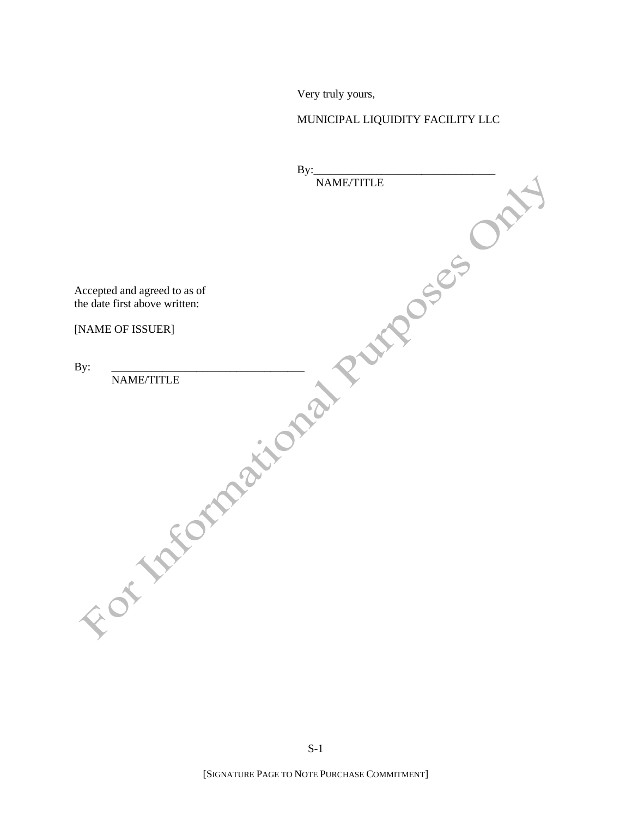Very truly yours,

# MUNICIPAL LIQUIDITY FACILITY LLC

| By:                           |
|-------------------------------|
| NAME/TITLE                    |
|                               |
|                               |
|                               |
|                               |
|                               |
|                               |
|                               |
| Accepted and agreed to as of  |
| the date first above written: |
|                               |
| JOSEF<br>[NAME OF ISSUER]     |
|                               |
|                               |
| By:                           |
| NAME/TITLE                    |
|                               |
|                               |
|                               |
|                               |
| Formation                     |
|                               |
|                               |
|                               |
|                               |
|                               |
|                               |
|                               |
|                               |
|                               |
|                               |
|                               |
|                               |
|                               |
|                               |
|                               |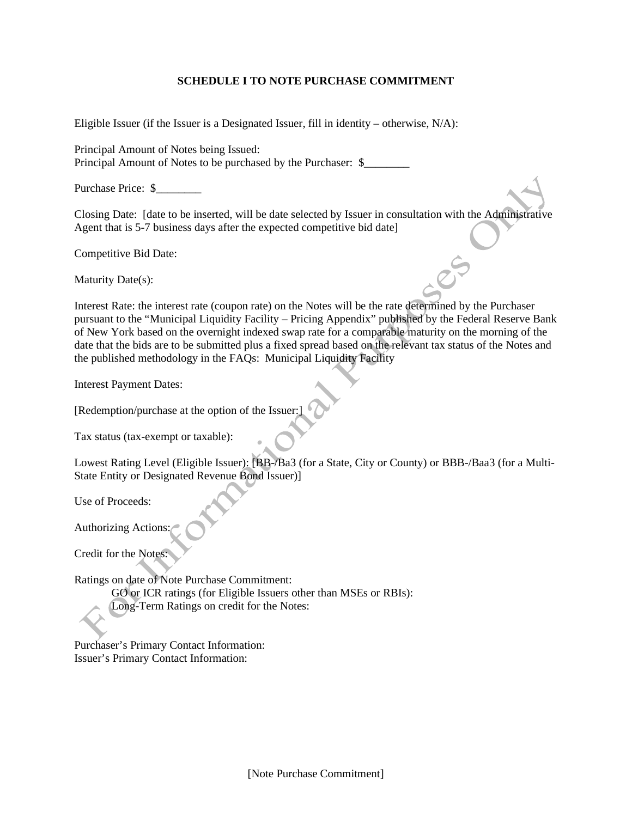# **SCHEDULE I TO NOTE PURCHASE COMMITMENT**

Eligible Issuer (if the Issuer is a Designated Issuer, fill in identity – otherwise, N/A):

Principal Amount of Notes being Issued: Principal Amount of Notes to be purchased by the Purchaser: \$

Purchase Price: \$\_\_\_\_\_\_\_\_

Closing Date: [date to be inserted, will be date selected by Issuer in consultation with the Administrative Agent that is 5-7 business days after the expected competitive bid date]

Competitive Bid Date:

Maturity Date(s):

Interest Rate: the interest rate (coupon rate) on the Notes will be the rate determined by the Purchaser pursuant to the "Municipal Liquidity Facility – Pricing Appendix" published by the Federal Reserve Bank of New York based on the overnight indexed swap rate for a comparable maturity on the morning of the date that the bids are to be submitted plus a fixed spread based on the relevant tax status of the Notes and the published methodology in the FAQs: Municipal Liquidity Facility

Interest Payment Dates:

[Redemption/purchase at the option of the Issuer:]

Tax status (tax-exempt or taxable):

Lowest Rating Level (Eligible Issuer): [BB-/Ba3 (for a State, City or County) or BBB-/Baa3 (for a Multi-State Entity or Designated Revenue Bond Issuer)]

Use of Proceeds:

Authorizing Actions:

Credit for the Notes:

Ratings on date of Note Purchase Commitment:

GO or ICR ratings (for Eligible Issuers other than MSEs or RBIs):

Long-Term Ratings on credit for the Notes:

Purchaser's Primary Contact Information: Issuer's Primary Contact Information: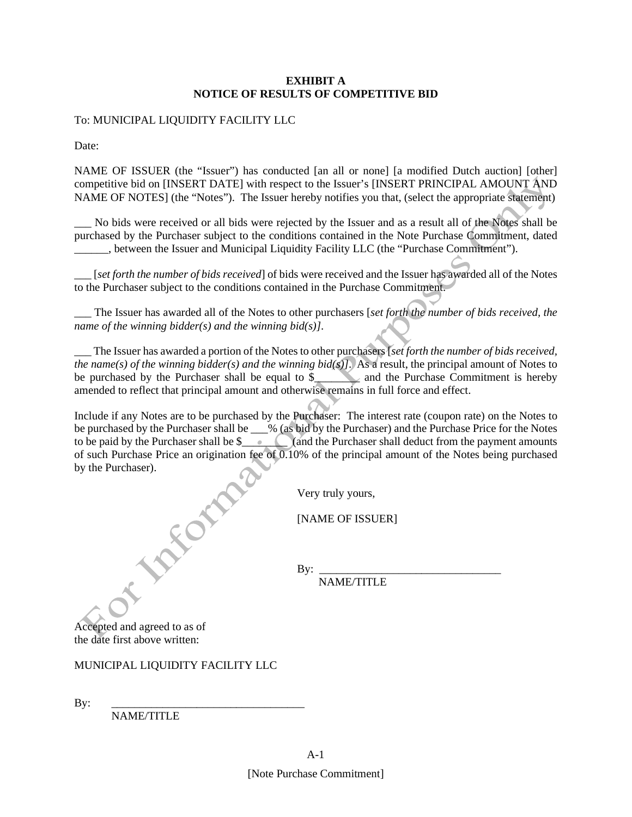## **EXHIBIT A NOTICE OF RESULTS OF COMPETITIVE BID**

To: MUNICIPAL LIQUIDITY FACILITY LLC

Date:

NAME OF ISSUER (the "Issuer") has conducted [an all or none] [a modified Dutch auction] [other] competitive bid on [INSERT DATE] with respect to the Issuer's [INSERT PRINCIPAL AMOUNT AND NAME OF NOTES] (the "Notes"). The Issuer hereby notifies you that, (select the appropriate statement)

No bids were received or all bids were rejected by the Issuer and as a result all of the Notes shall be purchased by the Purchaser subject to the conditions contained in the Note Purchase Commitment, dated \_\_\_\_\_\_, between the Issuer and Municipal Liquidity Facility LLC (the "Purchase Commitment").

[*set forth the number of bids received*] of bids were received and the Issuer has awarded all of the Notes to the Purchaser subject to the conditions contained in the Purchase Commitment.

\_\_\_ The Issuer has awarded all of the Notes to other purchasers [*set forth the number of bids received, the name of the winning bidder(s) and the winning bid(s)]*.

\_\_\_ The Issuer has awarded a portion of the Notes to other purchasers [*set forth the number of bids received, the name(s) of the winning bidder(s) and the winning bid(s)]*. As a result, the principal amount of Notes to be purchased by the Purchaser shall be equal to  $\frac{1}{2}$  and the Purchase Commitment is hereby amended to reflect that principal amount and otherwise remains in full force and effect.

Include if any Notes are to be purchased by the Purchaser: The interest rate (coupon rate) on the Notes to be purchased by the Purchaser shall be \_\_\_% (as bid by the Purchaser) and the Purchase Price for the Notes to be paid by the Purchaser shall be  $\frac{1}{2}$  (and the Purchaser shall deduct from the payment amounts of such Purchase Price an origination fee of 0.10% of the principal amount of the Notes being purchased by the Purchaser).

Very truly yours,

[NAME OF ISSUER]

By: \_\_\_\_\_\_\_\_\_\_\_\_\_\_\_\_\_\_\_\_\_\_\_\_\_\_\_\_\_\_\_\_ NAME/TITLE

Accepted and agreed to as of the date first above written:

# MUNICIPAL LIQUIDITY FACILITY LLC

By: \_\_\_\_\_\_\_\_\_\_\_\_\_\_\_\_\_\_\_\_\_\_\_\_\_\_\_\_\_\_\_\_\_\_

NAME/TITLE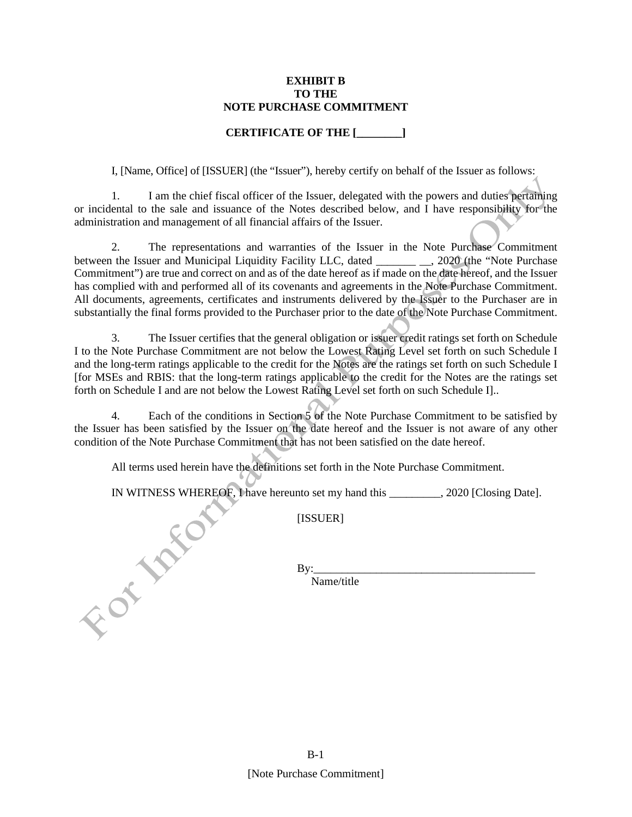#### **EXHIBIT B TO THE NOTE PURCHASE COMMITMENT**

# **CERTIFICATE OF THE [\_\_\_\_\_\_\_\_]**

I, [Name, Office] of [ISSUER] (the "Issuer"), hereby certify on behalf of the Issuer as follows:

1. I am the chief fiscal officer of the Issuer, delegated with the powers and duties pertaining or incidental to the sale and issuance of the Notes described below, and I have responsibility for the administration and management of all financial affairs of the Issuer.

2. The representations and warranties of the Issuer in the Note Purchase Commitment between the Issuer and Municipal Liquidity Facility LLC, dated \_\_\_\_\_\_\_\_\_\_, 2020 (the "Note Purchase Commitment") are true and correct on and as of the date hereof as if made on the date hereof, and the Issuer has complied with and performed all of its covenants and agreements in the Note Purchase Commitment. All documents, agreements, certificates and instruments delivered by the Issuer to the Purchaser are in substantially the final forms provided to the Purchaser prior to the date of the Note Purchase Commitment.

3. The Issuer certifies that the general obligation or issuer credit ratings set forth on Schedule I to the Note Purchase Commitment are not below the Lowest Rating Level set forth on such Schedule I and the long-term ratings applicable to the credit for the Notes are the ratings set forth on such Schedule I [for MSEs and RBIS: that the long-term ratings applicable to the credit for the Notes are the ratings set forth on Schedule I and are not below the Lowest Rating Level set forth on such Schedule I]..

4. Each of the conditions in Section 5 of the Note Purchase Commitment to be satisfied by the Issuer has been satisfied by the Issuer on the date hereof and the Issuer is not aware of any other condition of the Note Purchase Commitment that has not been satisfied on the date hereof.

All terms used herein have the definitions set forth in the Note Purchase Commitment.

IN WITNESS WHEREOF, I have hereunto set my hand this \_\_\_\_\_\_\_, 2020 [Closing Date].<br>
[ISSUER]<br>
By:<br>
Name/title

[ISSUER]

By:\_\_\_\_\_\_\_\_\_\_\_\_\_\_\_\_\_\_\_\_\_\_\_\_\_\_\_\_\_\_\_\_\_\_\_\_\_\_\_

Name/title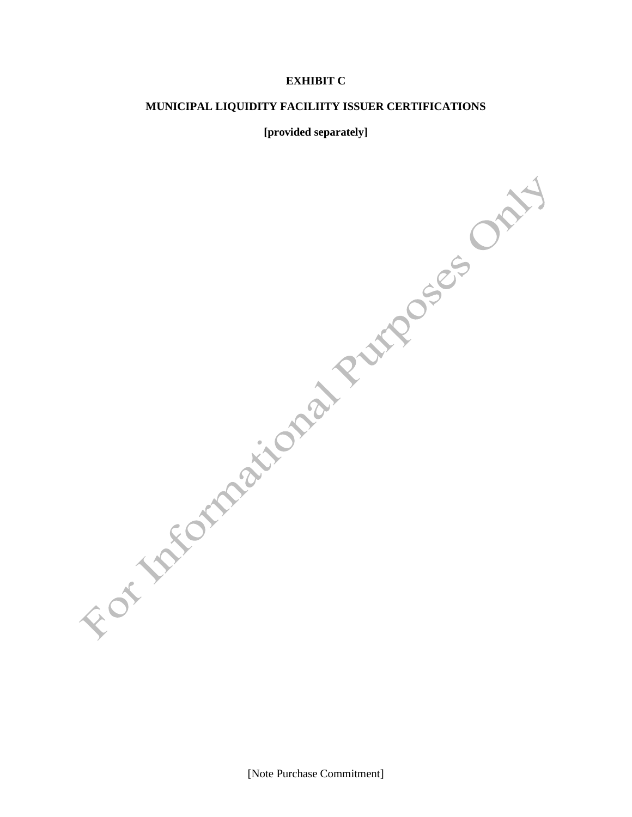# **EXHIBIT C**

#### **MUNICIPAL LIQUIDITY FACILIITY ISSUER CERTIFICATIONS**

#### **[provided separately]**

[Note Purchase Commitment]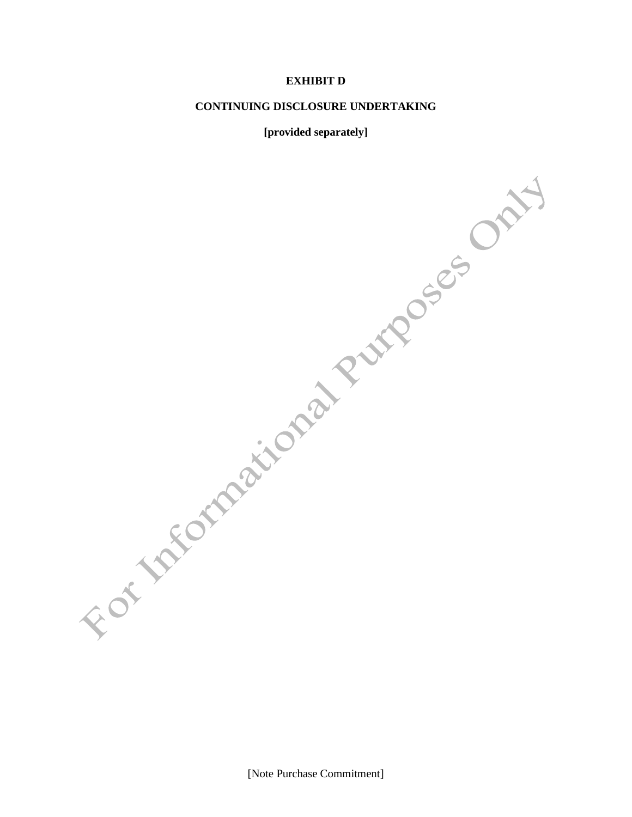# **EXHIBIT D**

#### **CONTINUING DISCLOSURE UNDERTAKING**

#### **[provided separately]**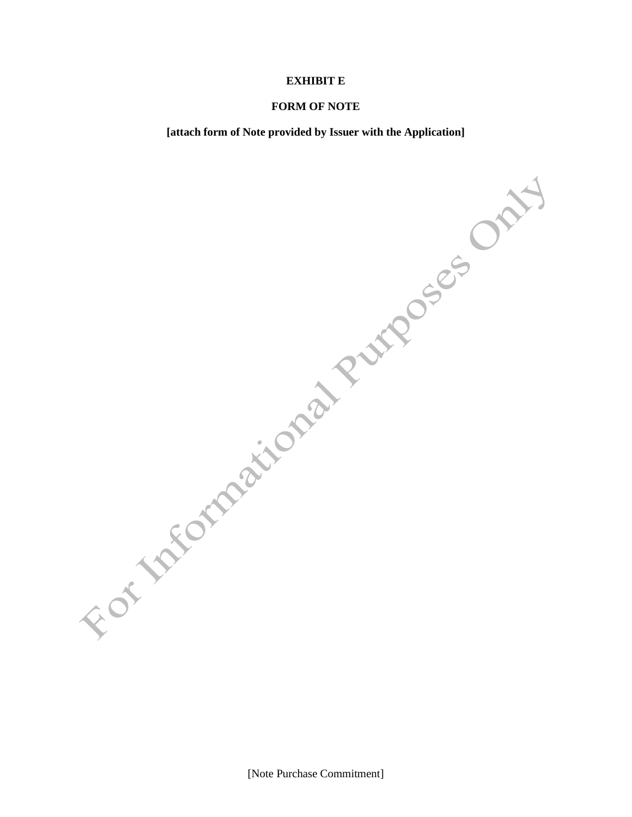#### **EXHIBIT E**

#### **FORM OF NOTE**

**[attach form of Note provided by Issuer with the Application]**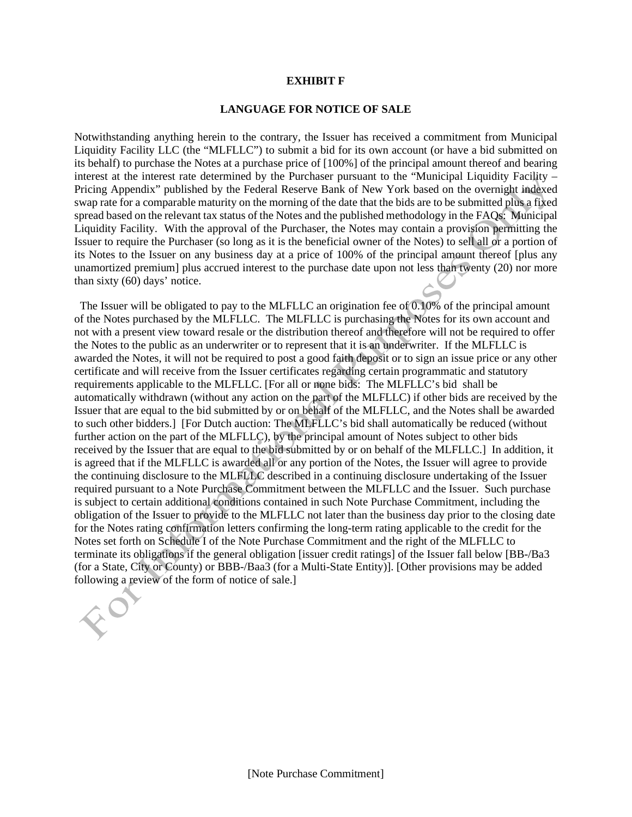#### **EXHIBIT F**

#### **LANGUAGE FOR NOTICE OF SALE**

Notwithstanding anything herein to the contrary, the Issuer has received a commitment from Municipal Liquidity Facility LLC (the "MLFLLC") to submit a bid for its own account (or have a bid submitted on its behalf) to purchase the Notes at a purchase price of [100%] of the principal amount thereof and bearing interest at the interest rate determined by the Purchaser pursuant to the "Municipal Liquidity Facility – Pricing Appendix" published by the Federal Reserve Bank of New York based on the overnight indexed swap rate for a comparable maturity on the morning of the date that the bids are to be submitted plus a fixed spread based on the relevant tax status of the Notes and the published methodology in the FAQs: Municipal Liquidity Facility. With the approval of the Purchaser, the Notes may contain a provision permitting the Issuer to require the Purchaser (so long as it is the beneficial owner of the Notes) to sell all or a portion of its Notes to the Issuer on any business day at a price of 100% of the principal amount thereof [plus any unamortized premium] plus accrued interest to the purchase date upon not less than twenty (20) nor more than sixty (60) days' notice.

 The Issuer will be obligated to pay to the MLFLLC an origination fee of 0.10% of the principal amount of the Notes purchased by the MLFLLC. The MLFLLC is purchasing the Notes for its own account and not with a present view toward resale or the distribution thereof and therefore will not be required to offer the Notes to the public as an underwriter or to represent that it is an underwriter. If the MLFLLC is awarded the Notes, it will not be required to post a good faith deposit or to sign an issue price or any other certificate and will receive from the Issuer certificates regarding certain programmatic and statutory requirements applicable to the MLFLLC. [For all or none bids: The MLFLLC's bid shall be automatically withdrawn (without any action on the part of the MLFLLC) if other bids are received by the Issuer that are equal to the bid submitted by or on behalf of the MLFLLC, and the Notes shall be awarded to such other bidders.] [For Dutch auction: The MLFLLC's bid shall automatically be reduced (without further action on the part of the MLFLLC), by the principal amount of Notes subject to other bids received by the Issuer that are equal to the bid submitted by or on behalf of the MLFLLC.] In addition, it is agreed that if the MLFLLC is awarded all or any portion of the Notes, the Issuer will agree to provide the continuing disclosure to the MLFLLC described in a continuing disclosure undertaking of the Issuer required pursuant to a Note Purchase Commitment between the MLFLLC and the Issuer. Such purchase is subject to certain additional conditions contained in such Note Purchase Commitment, including the obligation of the Issuer to provide to the MLFLLC not later than the business day prior to the closing date for the Notes rating confirmation letters confirming the long-term rating applicable to the credit for the Notes set forth on Schedule I of the Note Purchase Commitment and the right of the MLFLLC to terminate its obligations if the general obligation [issuer credit ratings] of the Issuer fall below [BB-/Ba3 (for a State, City or County) or BBB-/Baa3 (for a Multi-State Entity)]. [Other provisions may be added following a review of the form of notice of sale.]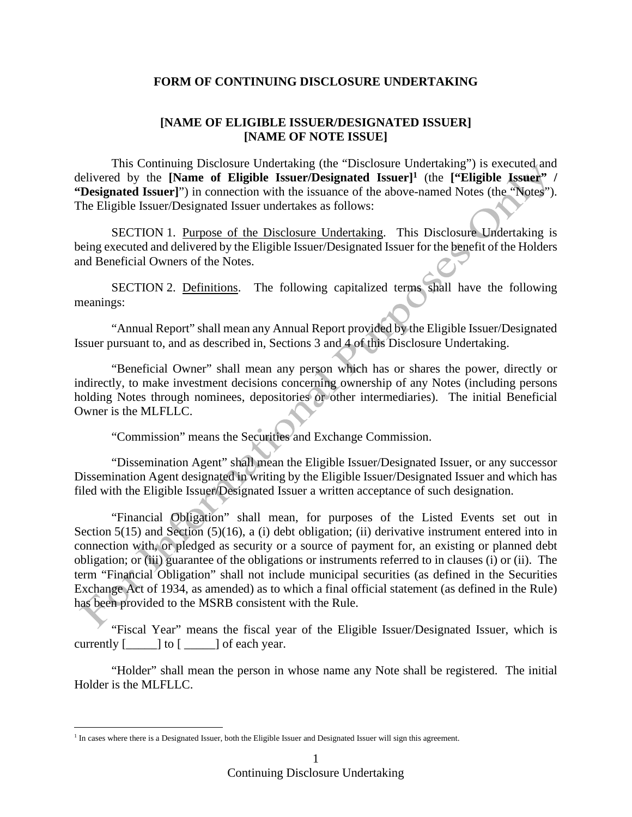# **FORM OF CONTINUING DISCLOSURE UNDERTAKING**

# **[NAME OF ELIGIBLE ISSUER/DESIGNATED ISSUER] [NAME OF NOTE ISSUE]**

This Continuing Disclosure Undertaking (the "Disclosure Undertaking") is executed and delivered by the **[Name of Eligible Issuer/Designated Issuer]<sup>1</sup>** (the **["Eligible Issuer" / "Designated Issuer]**") in connection with the issuance of the above-named Notes (the "Notes"). The Eligible Issuer/Designated Issuer undertakes as follows:

SECTION 1. Purpose of the Disclosure Undertaking. This Disclosure Undertaking is being executed and delivered by the Eligible Issuer/Designated Issuer for the benefit of the Holders and Beneficial Owners of the Notes.

SECTION 2. Definitions. The following capitalized terms shall have the following meanings:

"Annual Report" shall mean any Annual Report provided by the Eligible Issuer/Designated Issuer pursuant to, and as described in, Sections 3 and 4 of this Disclosure Undertaking.

"Beneficial Owner" shall mean any person which has or shares the power, directly or indirectly, to make investment decisions concerning ownership of any Notes (including persons holding Notes through nominees, depositories or other intermediaries). The initial Beneficial Owner is the MLFLLC.

"Commission" means the Securities and Exchange Commission.

"Dissemination Agent" shall mean the Eligible Issuer/Designated Issuer, or any successor Dissemination Agent designated in writing by the Eligible Issuer/Designated Issuer and which has filed with the Eligible Issuer/Designated Issuer a written acceptance of such designation.

"Financial Obligation" shall mean, for purposes of the Listed Events set out in Section 5(15) and Section (5)(16), a (i) debt obligation; (ii) derivative instrument entered into in connection with, or pledged as security or a source of payment for, an existing or planned debt obligation; or (iii) guarantee of the obligations or instruments referred to in clauses (i) or (ii). The term "Financial Obligation" shall not include municipal securities (as defined in the Securities Exchange Act of 1934, as amended) as to which a final official statement (as defined in the Rule) has been provided to the MSRB consistent with the Rule.

"Fiscal Year" means the fiscal year of the Eligible Issuer/Designated Issuer, which is currently  $[\underline{\hspace{1cm}}]$  to  $[\underline{\hspace{1cm}}]$  of each year.

"Holder" shall mean the person in whose name any Note shall be registered. The initial Holder is the MLFLLC.

<sup>&</sup>lt;sup>1</sup> In cases where there is a Designated Issuer, both the Eligible Issuer and Designated Issuer will sign this agreement.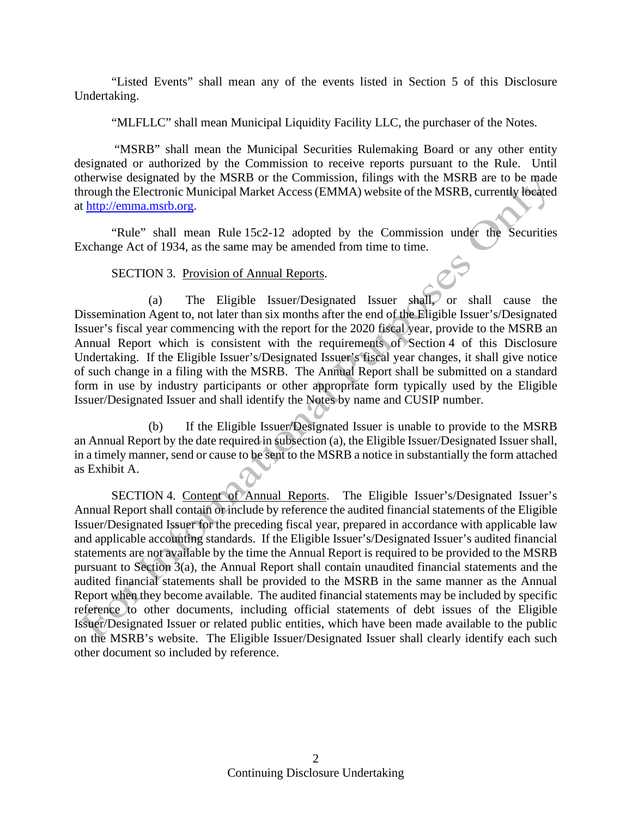"Listed Events" shall mean any of the events listed in Section 5 of this Disclosure Undertaking.

"MLFLLC" shall mean Municipal Liquidity Facility LLC, the purchaser of the Notes.

 "MSRB" shall mean the Municipal Securities Rulemaking Board or any other entity designated or authorized by the Commission to receive reports pursuant to the Rule. Until otherwise designated by the MSRB or the Commission, filings with the MSRB are to be made through the Electronic Municipal Market Access (EMMA) website of the MSRB, currently located at http://emma.msrb.org.

"Rule" shall mean Rule 15c2-12 adopted by the Commission under the Securities Exchange Act of 1934, as the same may be amended from time to time.

# SECTION 3. Provision of Annual Reports.

(a) The Eligible Issuer/Designated Issuer shall, or shall cause the Dissemination Agent to, not later than six months after the end of the Eligible Issuer's/Designated Issuer's fiscal year commencing with the report for the 2020 fiscal year, provide to the MSRB an Annual Report which is consistent with the requirements of Section 4 of this Disclosure Undertaking. If the Eligible Issuer's/Designated Issuer's fiscal year changes, it shall give notice of such change in a filing with the MSRB. The Annual Report shall be submitted on a standard form in use by industry participants or other appropriate form typically used by the Eligible Issuer/Designated Issuer and shall identify the Notes by name and CUSIP number.

(b) If the Eligible Issuer/Designated Issuer is unable to provide to the MSRB an Annual Report by the date required in subsection (a), the Eligible Issuer/Designated Issuer shall, in a timely manner, send or cause to be sent to the MSRB a notice in substantially the form attached as Exhibit A.

SECTION 4. Content of Annual Reports. The Eligible Issuer's/Designated Issuer's Annual Report shall contain or include by reference the audited financial statements of the Eligible Issuer/Designated Issuer for the preceding fiscal year, prepared in accordance with applicable law and applicable accounting standards. If the Eligible Issuer's/Designated Issuer's audited financial statements are not available by the time the Annual Report is required to be provided to the MSRB pursuant to Section 3(a), the Annual Report shall contain unaudited financial statements and the audited financial statements shall be provided to the MSRB in the same manner as the Annual Report when they become available. The audited financial statements may be included by specific reference to other documents, including official statements of debt issues of the Eligible Issuer/Designated Issuer or related public entities, which have been made available to the public on the MSRB's website. The Eligible Issuer/Designated Issuer shall clearly identify each such other document so included by reference.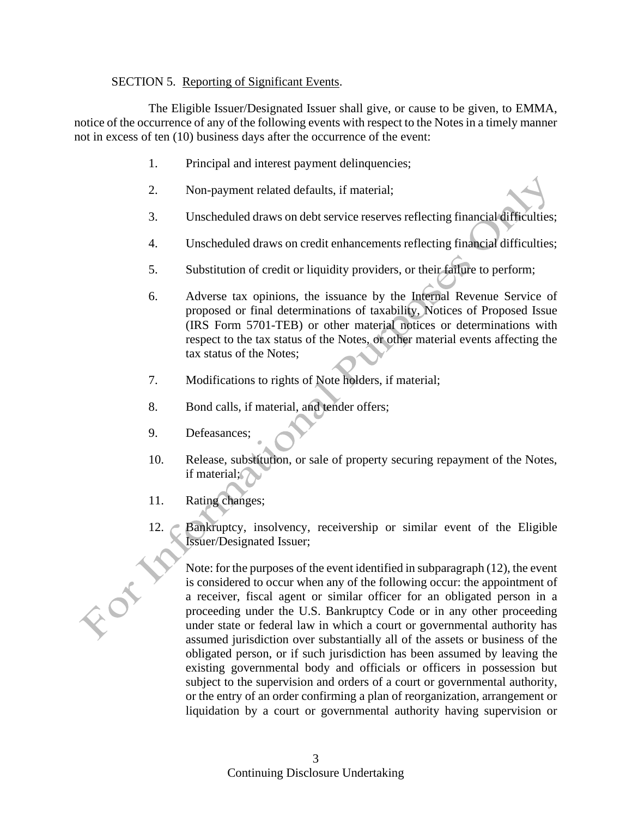# SECTION 5. Reporting of Significant Events.

The Eligible Issuer/Designated Issuer shall give, or cause to be given, to EMMA, notice of the occurrence of any of the following events with respect to the Notes in a timely manner not in excess of ten (10) business days after the occurrence of the event:

- 1. Principal and interest payment delinquencies;
- 2. Non-payment related defaults, if material;
- 3. Unscheduled draws on debt service reserves reflecting financial difficulties;
- 4. Unscheduled draws on credit enhancements reflecting financial difficulties;
- 5. Substitution of credit or liquidity providers, or their failure to perform;
- 6. Adverse tax opinions, the issuance by the Internal Revenue Service of proposed or final determinations of taxability, Notices of Proposed Issue (IRS Form 5701-TEB) or other material notices or determinations with respect to the tax status of the Notes, or other material events affecting the tax status of the Notes;
- 7. Modifications to rights of Note holders, if material;
- 8. Bond calls, if material, and tender offers;
- 9. Defeasances;
- 10. Release, substitution, or sale of property securing repayment of the Notes, if material;
- 11. Rating changes;
- 12. Bankruptcy, insolvency, receivership or similar event of the Eligible Issuer/Designated Issuer;

Note: for the purposes of the event identified in subparagraph (12), the event is considered to occur when any of the following occur: the appointment of a receiver, fiscal agent or similar officer for an obligated person in a proceeding under the U.S. Bankruptcy Code or in any other proceeding under state or federal law in which a court or governmental authority has assumed jurisdiction over substantially all of the assets or business of the obligated person, or if such jurisdiction has been assumed by leaving the existing governmental body and officials or officers in possession but subject to the supervision and orders of a court or governmental authority, or the entry of an order confirming a plan of reorganization, arrangement or liquidation by a court or governmental authority having supervision or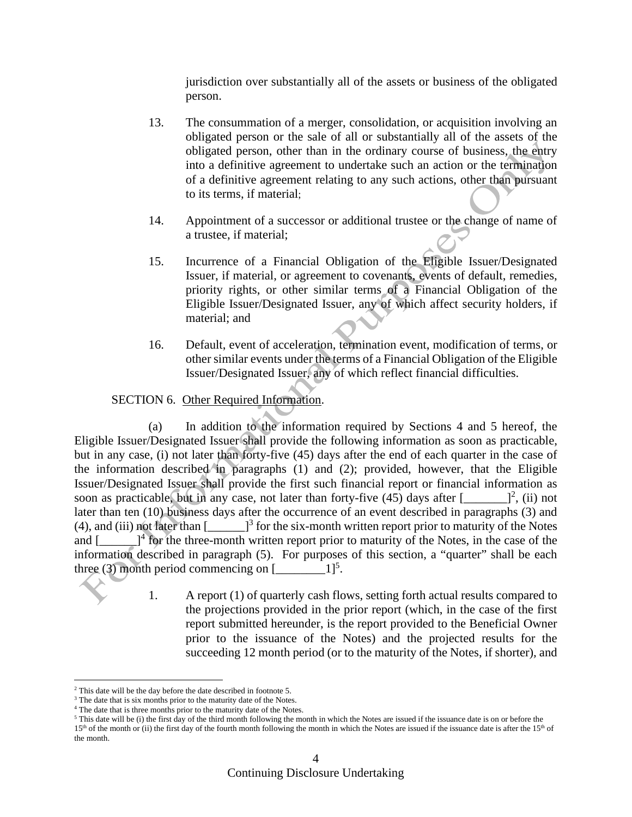jurisdiction over substantially all of the assets or business of the obligated person.

- 13. The consummation of a merger, consolidation, or acquisition involving an obligated person or the sale of all or substantially all of the assets of the obligated person, other than in the ordinary course of business, the entry into a definitive agreement to undertake such an action or the termination of a definitive agreement relating to any such actions, other than pursuant to its terms, if material;
- 14. Appointment of a successor or additional trustee or the change of name of a trustee, if material;
- 15. Incurrence of a Financial Obligation of the Eligible Issuer/Designated Issuer, if material, or agreement to covenants, events of default, remedies, priority rights, or other similar terms of a Financial Obligation of the Eligible Issuer/Designated Issuer, any of which affect security holders, if material; and
- 16. Default, event of acceleration, termination event, modification of terms, or other similar events under the terms of a Financial Obligation of the Eligible Issuer/Designated Issuer, any of which reflect financial difficulties.

# SECTION 6. Other Required Information.

(a) In addition to the information required by Sections 4 and 5 hereof, the Eligible Issuer/Designated Issuer shall provide the following information as soon as practicable, but in any case, (i) not later than forty-five (45) days after the end of each quarter in the case of the information described in paragraphs (1) and (2); provided, however, that the Eligible Issuer/Designated Issuer shall provide the first such financial report or financial information as soon as practicable, but in any case, not later than forty-five  $(45)$  days after  $[$   $]$ <sup>2</sup>, (ii) not later than ten (10) business days after the occurrence of an event described in paragraphs (3) and (4), and (iii) not later than  $\left[\frac{1}{3}\right]$  for the six-month written report prior to maturity of the Notes and  $[\_\_\_\]$ <sup>4</sup> for the three-month written report prior to maturity of the Notes, in the case of the information described in paragraph (5). For purposes of this section, a "quarter" shall be each three (3) month period commencing on  $[\_ \_ \_ 1]^5$ .

> 1. A report (1) of quarterly cash flows, setting forth actual results compared to the projections provided in the prior report (which, in the case of the first report submitted hereunder, is the report provided to the Beneficial Owner prior to the issuance of the Notes) and the projected results for the succeeding 12 month period (or to the maturity of the Notes, if shorter)*,* and

 $2$  This date will be the day before the date described in footnote 5.

<sup>&</sup>lt;sup>3</sup> The date that is six months prior to the maturity date of the Notes.

<sup>&</sup>lt;sup>4</sup> The date that is three months prior to the maturity date of the Notes.

 $5$  This date will be (i) the first day of the third month following the month in which the Notes are issued if the issuance date is on or before the  $15<sup>th</sup>$  of the month or (ii) the first day of the fourth month following the month in which the Notes are issued if the issuance date is after the  $15<sup>th</sup>$  of the month.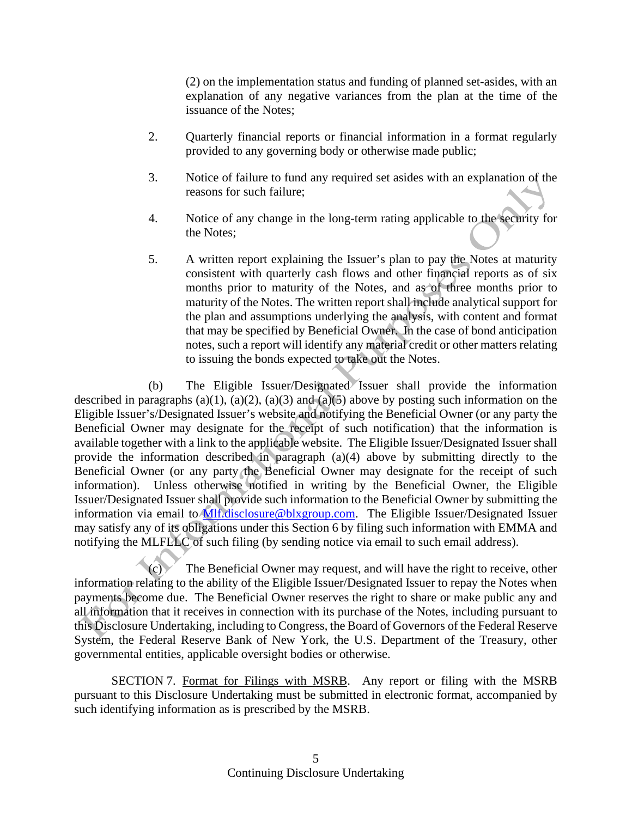(2) on the implementation status and funding of planned set-asides, with an explanation of any negative variances from the plan at the time of the issuance of the Notes;

- 2. Quarterly financial reports or financial information in a format regularly provided to any governing body or otherwise made public;
- 3. Notice of failure to fund any required set asides with an explanation of the reasons for such failure;
- 4. Notice of any change in the long-term rating applicable to the security for the Notes;
- 5. A written report explaining the Issuer's plan to pay the Notes at maturity consistent with quarterly cash flows and other financial reports as of six months prior to maturity of the Notes, and as of three months prior to maturity of the Notes. The written report shall include analytical support for the plan and assumptions underlying the analysis, with content and format that may be specified by Beneficial Owner. In the case of bond anticipation notes, such a report will identify any material credit or other matters relating to issuing the bonds expected to take out the Notes.

(b) The Eligible Issuer/Designated Issuer shall provide the information described in paragraphs (a)(1), (a)(2), (a)(3) and (a)(5) above by posting such information on the Eligible Issuer's/Designated Issuer's website and notifying the Beneficial Owner (or any party the Beneficial Owner may designate for the receipt of such notification) that the information is available together with a link to the applicable website. The Eligible Issuer/Designated Issuer shall provide the information described in paragraph (a)(4) above by submitting directly to the Beneficial Owner (or any party the Beneficial Owner may designate for the receipt of such information). Unless otherwise notified in writing by the Beneficial Owner, the Eligible Issuer/Designated Issuer shall provide such information to the Beneficial Owner by submitting the information via email to Mlf.disclosure@blxgroup.com. The Eligible Issuer/Designated Issuer may satisfy any of its obligations under this Section 6 by filing such information with EMMA and notifying the MLFLLC of such filing (by sending notice via email to such email address).

(c) The Beneficial Owner may request, and will have the right to receive, other information relating to the ability of the Eligible Issuer/Designated Issuer to repay the Notes when payments become due. The Beneficial Owner reserves the right to share or make public any and all information that it receives in connection with its purchase of the Notes, including pursuant to this Disclosure Undertaking, including to Congress, the Board of Governors of the Federal Reserve System, the Federal Reserve Bank of New York, the U.S. Department of the Treasury, other governmental entities, applicable oversight bodies or otherwise.

SECTION 7. Format for Filings with MSRB. Any report or filing with the MSRB pursuant to this Disclosure Undertaking must be submitted in electronic format, accompanied by such identifying information as is prescribed by the MSRB.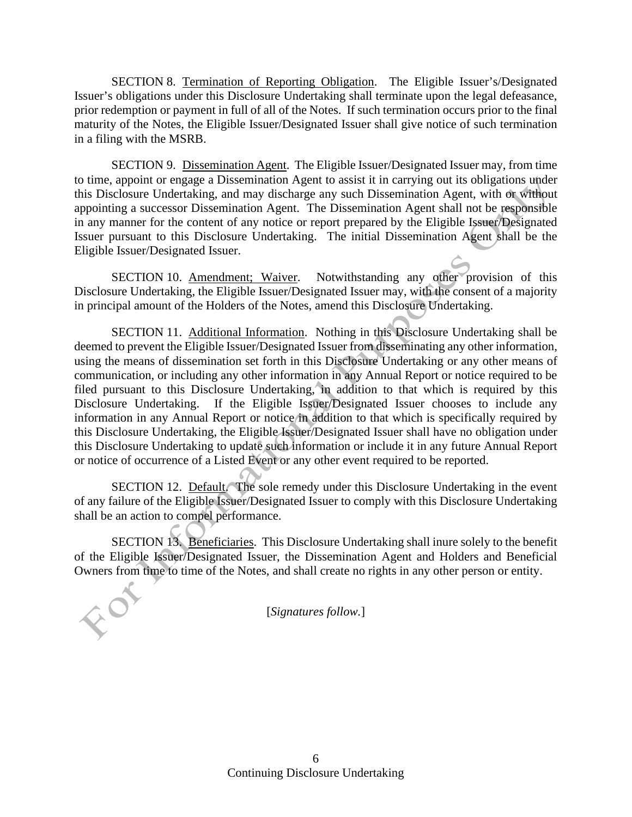SECTION 8. Termination of Reporting Obligation. The Eligible Issuer's/Designated Issuer's obligations under this Disclosure Undertaking shall terminate upon the legal defeasance, prior redemption or payment in full of all of the Notes. If such termination occurs prior to the final maturity of the Notes, the Eligible Issuer/Designated Issuer shall give notice of such termination in a filing with the MSRB.

SECTION 9. Dissemination Agent. The Eligible Issuer/Designated Issuer may, from time to time, appoint or engage a Dissemination Agent to assist it in carrying out its obligations under this Disclosure Undertaking, and may discharge any such Dissemination Agent, with or without appointing a successor Dissemination Agent. The Dissemination Agent shall not be responsible in any manner for the content of any notice or report prepared by the Eligible Issuer/Designated Issuer pursuant to this Disclosure Undertaking. The initial Dissemination Agent shall be the Eligible Issuer/Designated Issuer.

SECTION 10. Amendment; Waiver. Notwithstanding any other provision of this Disclosure Undertaking, the Eligible Issuer/Designated Issuer may, with the consent of a majority in principal amount of the Holders of the Notes, amend this Disclosure Undertaking.

SECTION 11. Additional Information. Nothing in this Disclosure Undertaking shall be deemed to prevent the Eligible Issuer/Designated Issuer from disseminating any other information, using the means of dissemination set forth in this Disclosure Undertaking or any other means of communication, or including any other information in any Annual Report or notice required to be filed pursuant to this Disclosure Undertaking, in addition to that which is required by this Disclosure Undertaking. If the Eligible Issuer/Designated Issuer chooses to include any information in any Annual Report or notice in addition to that which is specifically required by this Disclosure Undertaking, the Eligible Issuer/Designated Issuer shall have no obligation under this Disclosure Undertaking to update such information or include it in any future Annual Report or notice of occurrence of a Listed Event or any other event required to be reported.

SECTION 12. Default. The sole remedy under this Disclosure Undertaking in the event of any failure of the Eligible Issuer/Designated Issuer to comply with this Disclosure Undertaking shall be an action to compel performance.

SECTION 13. Beneficiaries. This Disclosure Undertaking shall inure solely to the benefit of the Eligible Issuer/Designated Issuer, the Dissemination Agent and Holders and Beneficial Owners from time to time of the Notes, and shall create no rights in any other person or entity.

[*Signatures follow.*]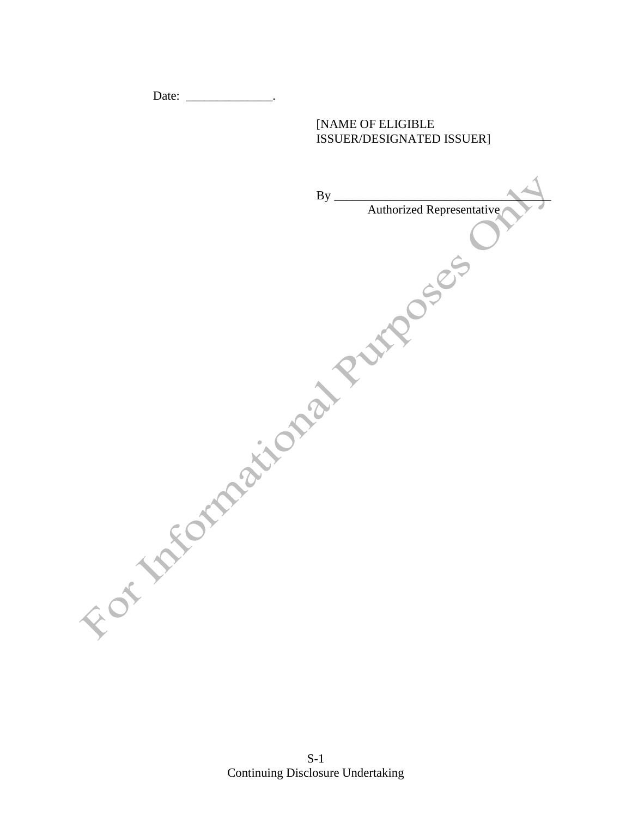Date: \_\_\_\_\_\_\_\_\_\_\_\_\_\_\_\_\_\_.

# [NAME OF ELIGIBLE ISSUER/DESIGNATED ISSUER]

| <b>By</b>       |                           |
|-----------------|---------------------------|
|                 | Authorized Representative |
|                 |                           |
|                 |                           |
|                 |                           |
|                 | <b>MADOSEE</b>            |
|                 |                           |
|                 |                           |
|                 |                           |
|                 |                           |
|                 |                           |
| OF TAFORMAIN PL |                           |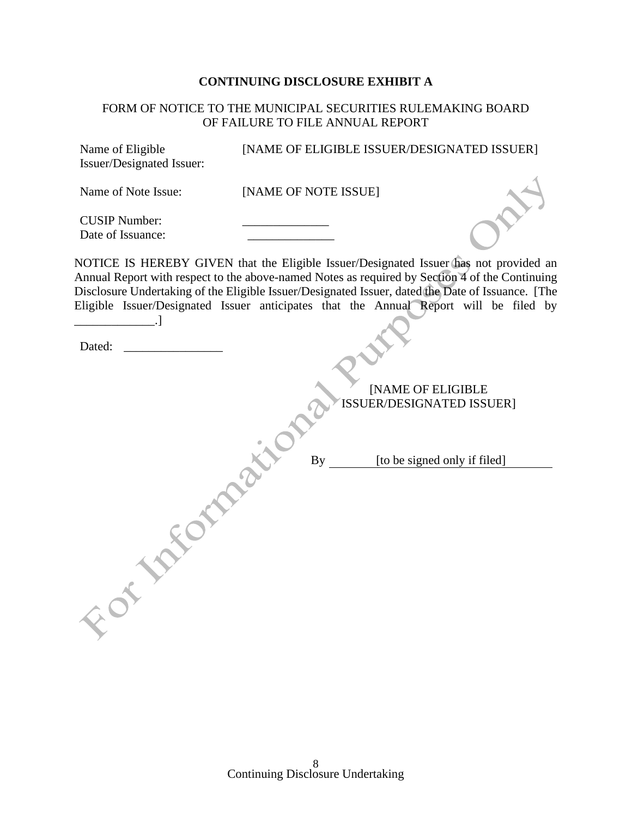# **CONTINUING DISCLOSURE EXHIBIT A**

# FORM OF NOTICE TO THE MUNICIPAL SECURITIES RULEMAKING BOARD OF FAILURE TO FILE ANNUAL REPORT

| Name of Eligible<br>Issuer/Designated Issuer: | [NAME OF ELIGIBLE ISSUER/DESIGNATED ISSUER]                                                                                                                                                                                                                                                                                                                                           |
|-----------------------------------------------|---------------------------------------------------------------------------------------------------------------------------------------------------------------------------------------------------------------------------------------------------------------------------------------------------------------------------------------------------------------------------------------|
| Name of Note Issue:                           | [NAME OF NOTE ISSUE]                                                                                                                                                                                                                                                                                                                                                                  |
| <b>CUSIP Number:</b><br>Date of Issuance:     |                                                                                                                                                                                                                                                                                                                                                                                       |
|                                               | NOTICE IS HEREBY GIVEN that the Eligible Issuer/Designated Issuer has not provided an<br>Annual Report with respect to the above-named Notes as required by Section 4 of the Continuing<br>Disclosure Undertaking of the Eligible Issuer/Designated Issuer, dated the Date of Issuance. [The<br>Eligible Issuer/Designated Issuer anticipates that the Annual Report will be filed by |
| Dated:                                        |                                                                                                                                                                                                                                                                                                                                                                                       |
|                                               | [NAME OF ELIGIBLE<br>ISSUER/DESIGNATED ISSUER]                                                                                                                                                                                                                                                                                                                                        |
|                                               | [to be signed only if filed]<br><b>By</b>                                                                                                                                                                                                                                                                                                                                             |
|                                               |                                                                                                                                                                                                                                                                                                                                                                                       |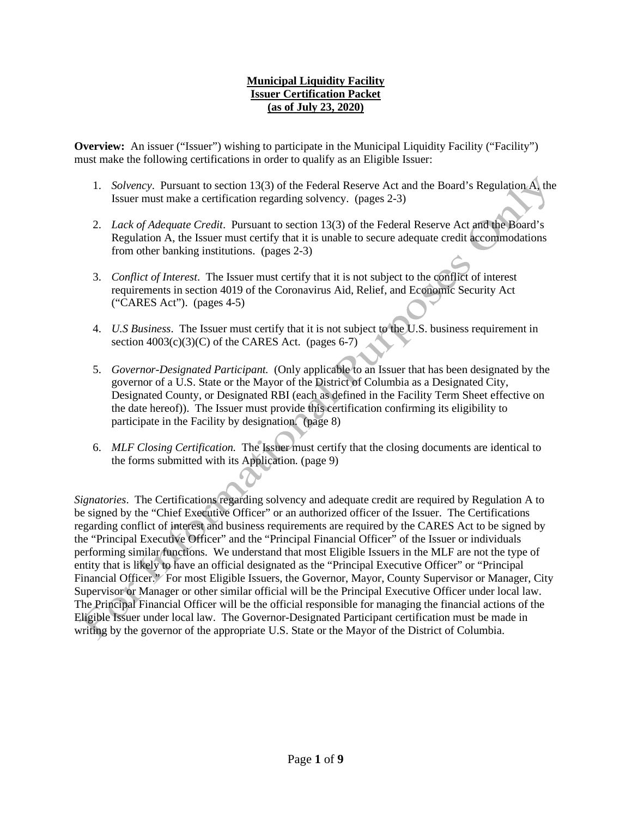# **Municipal Liquidity Facility Issuer Certification Packet (as of July 23, 2020)**

**Overview:** An issuer ("Issuer") wishing to participate in the Municipal Liquidity Facility ("Facility") must make the following certifications in order to qualify as an Eligible Issuer:

- 1. *Solvency*. Pursuant to section 13(3) of the Federal Reserve Act and the Board's Regulation A, the Issuer must make a certification regarding solvency. (pages 2-3)
- 2. *Lack of Adequate Credit*. Pursuant to section 13(3) of the Federal Reserve Act and the Board's Regulation A, the Issuer must certify that it is unable to secure adequate credit accommodations from other banking institutions. (pages 2-3)
- 3. *Conflict of Interest*. The Issuer must certify that it is not subject to the conflict of interest requirements in section 4019 of the Coronavirus Aid, Relief, and Economic Security Act ("CARES Act"). (pages 4-5)
- 4. *U.S Business*. The Issuer must certify that it is not subject to the U.S. business requirement in section  $4003(c)(3)(C)$  of the CARES Act. (pages 6-7)
- 5. *Governor-Designated Participant.* (Only applicable to an Issuer that has been designated by the governor of a U.S. State or the Mayor of the District of Columbia as a Designated City, Designated County, or Designated RBI (each as defined in the Facility Term Sheet effective on the date hereof)). The Issuer must provide this certification confirming its eligibility to participate in the Facility by designation. (page 8)
- 6. *MLF Closing Certification.* The Issuer must certify that the closing documents are identical to the forms submitted with its Application*.* (page 9)

*Signatories*. The Certifications regarding solvency and adequate credit are required by Regulation A to be signed by the "Chief Executive Officer" or an authorized officer of the Issuer. The Certifications regarding conflict of interest and business requirements are required by the CARES Act to be signed by the "Principal Executive Officer" and the "Principal Financial Officer" of the Issuer or individuals performing similar functions. We understand that most Eligible Issuers in the MLF are not the type of entity that is likely to have an official designated as the "Principal Executive Officer" or "Principal Financial Officer." For most Eligible Issuers, the Governor, Mayor, County Supervisor or Manager, City Supervisor or Manager or other similar official will be the Principal Executive Officer under local law. The Principal Financial Officer will be the official responsible for managing the financial actions of the Eligible Issuer under local law. The Governor-Designated Participant certification must be made in writing by the governor of the appropriate U.S. State or the Mayor of the District of Columbia.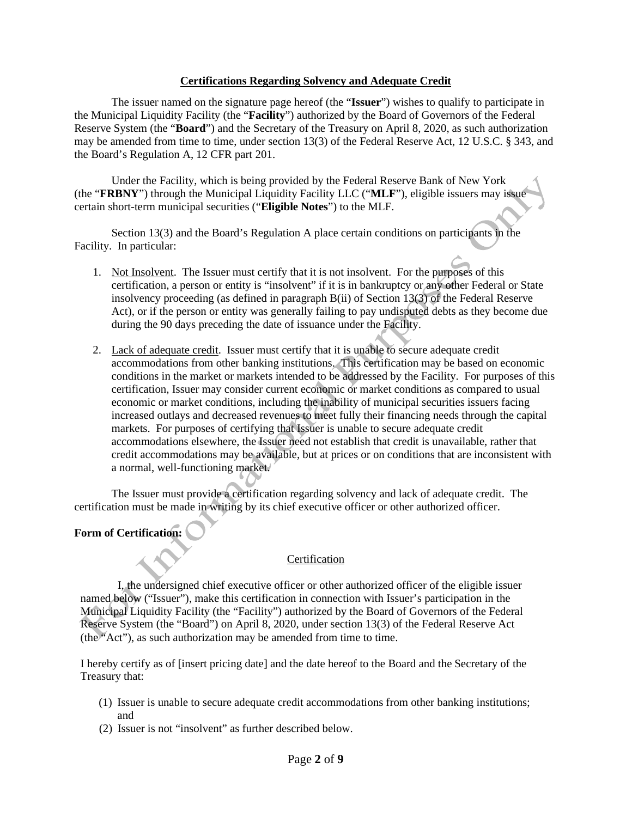## **Certifications Regarding Solvency and Adequate Credit**

The issuer named on the signature page hereof (the "**Issuer**") wishes to qualify to participate in the Municipal Liquidity Facility (the "**Facility**") authorized by the Board of Governors of the Federal Reserve System (the "**Board**") and the Secretary of the Treasury on April 8, 2020, as such authorization may be amended from time to time, under section 13(3) of the Federal Reserve Act, 12 U.S.C. § 343, and the Board's Regulation A, 12 CFR part 201.

Under the Facility, which is being provided by the Federal Reserve Bank of New York (the "**FRBNY**") through the Municipal Liquidity Facility LLC ("**MLF**"), eligible issuers may issue certain short-term municipal securities ("**Eligible Notes**") to the MLF.

Section 13(3) and the Board's Regulation A place certain conditions on participants in the Facility. In particular:

- 1. Not Insolvent. The Issuer must certify that it is not insolvent. For the purposes of this certification, a person or entity is "insolvent" if it is in bankruptcy or any other Federal or State insolvency proceeding (as defined in paragraph B(ii) of Section 13(3) of the Federal Reserve Act), or if the person or entity was generally failing to pay undisputed debts as they become due during the 90 days preceding the date of issuance under the Facility.
- 2. Lack of adequate credit. Issuer must certify that it is unable to secure adequate credit accommodations from other banking institutions. This certification may be based on economic conditions in the market or markets intended to be addressed by the Facility. For purposes of this certification, Issuer may consider current economic or market conditions as compared to usual economic or market conditions, including the inability of municipal securities issuers facing increased outlays and decreased revenues to meet fully their financing needs through the capital markets. For purposes of certifying that Issuer is unable to secure adequate credit accommodations elsewhere, the Issuer need not establish that credit is unavailable, rather that credit accommodations may be available, but at prices or on conditions that are inconsistent with a normal, well-functioning market.

The Issuer must provide a certification regarding solvency and lack of adequate credit. The certification must be made in writing by its chief executive officer or other authorized officer.

## **Form of Certification:**

## Certification

I, the undersigned chief executive officer or other authorized officer of the eligible issuer named below ("Issuer"), make this certification in connection with Issuer's participation in the Municipal Liquidity Facility (the "Facility") authorized by the Board of Governors of the Federal Reserve System (the "Board") on April 8, 2020, under section 13(3) of the Federal Reserve Act (the "Act"), as such authorization may be amended from time to time.

I hereby certify as of [insert pricing date] and the date hereof to the Board and the Secretary of the Treasury that:

- (1) Issuer is unable to secure adequate credit accommodations from other banking institutions; and
- (2) Issuer is not "insolvent" as further described below.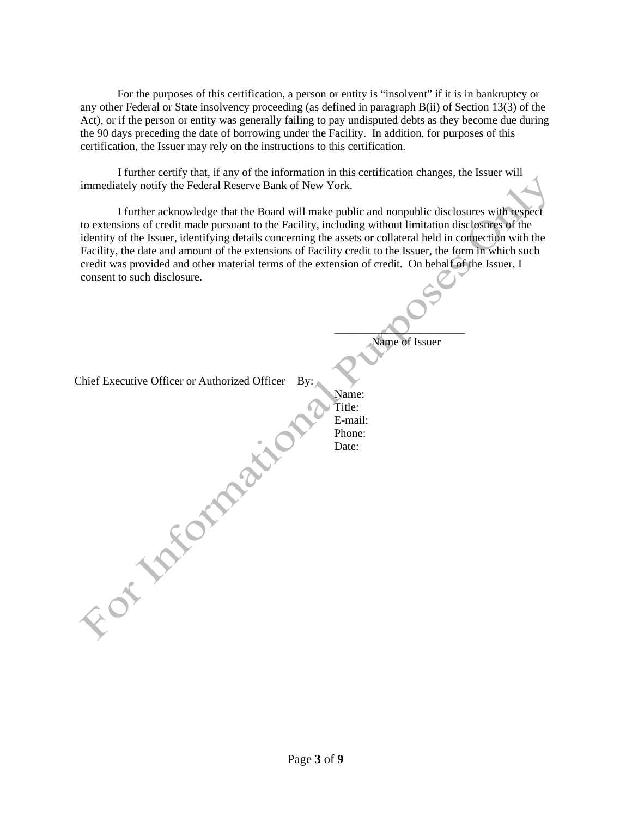For the purposes of this certification, a person or entity is "insolvent" if it is in bankruptcy or any other Federal or State insolvency proceeding (as defined in paragraph B(ii) of Section 13(3) of the Act), or if the person or entity was generally failing to pay undisputed debts as they become due during the 90 days preceding the date of borrowing under the Facility. In addition, for purposes of this certification, the Issuer may rely on the instructions to this certification.

I further certify that, if any of the information in this certification changes, the Issuer will immediately notify the Federal Reserve Bank of New York.

I further acknowledge that the Board will make public and nonpublic disclosures with respect to extensions of credit made pursuant to the Facility, including without limitation disclosures of the identity of the Issuer, identifying details concerning the assets or collateral held in connection with the Facility, the date and amount of the extensions of Facility credit to the Issuer, the form in which such credit was provided and other material terms of the extension of credit. On behalf of the Issuer, I consent to such disclosure.

> $\qquad \qquad \qquad \qquad$ Name of Issuer

Name: Title: E-mail: Phone: Date:

Chief Executive Officer or Authorized Officer By:

For takemains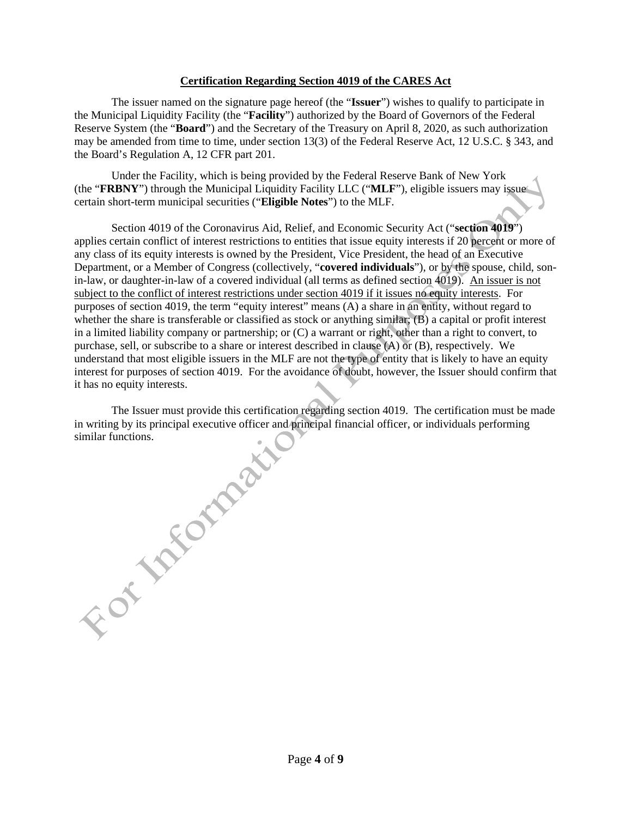## **Certification Regarding Section 4019 of the CARES Act**

The issuer named on the signature page hereof (the "**Issuer**") wishes to qualify to participate in the Municipal Liquidity Facility (the "**Facility**") authorized by the Board of Governors of the Federal Reserve System (the "**Board**") and the Secretary of the Treasury on April 8, 2020, as such authorization may be amended from time to time, under section 13(3) of the Federal Reserve Act, 12 U.S.C. § 343, and the Board's Regulation A, 12 CFR part 201.

Under the Facility, which is being provided by the Federal Reserve Bank of New York (the "**FRBNY**") through the Municipal Liquidity Facility LLC ("**MLF**"), eligible issuers may issue certain short-term municipal securities ("**Eligible Notes**") to the MLF.

Section 4019 of the Coronavirus Aid, Relief, and Economic Security Act ("**section 4019**") applies certain conflict of interest restrictions to entities that issue equity interests if 20 percent or more of any class of its equity interests is owned by the President, Vice President, the head of an Executive Department, or a Member of Congress (collectively, "**covered individuals**"), or by the spouse, child, sonin-law, or daughter-in-law of a covered individual (all terms as defined section 4019). An issuer is not subject to the conflict of interest restrictions under section 4019 if it issues no equity interests. For purposes of section 4019, the term "equity interest" means (A) a share in an entity, without regard to whether the share is transferable or classified as stock or anything similar; (B) a capital or profit interest in a limited liability company or partnership; or (C) a warrant or right, other than a right to convert, to purchase, sell, or subscribe to a share or interest described in clause (A) or (B), respectively. We understand that most eligible issuers in the MLF are not the type of entity that is likely to have an equity interest for purposes of section 4019. For the avoidance of doubt, however, the Issuer should confirm that it has no equity interests.

The Issuer must provide this certification regarding section 4019. The certification must be made in writing by its principal executive officer and principal financial officer, or individuals performing For the ration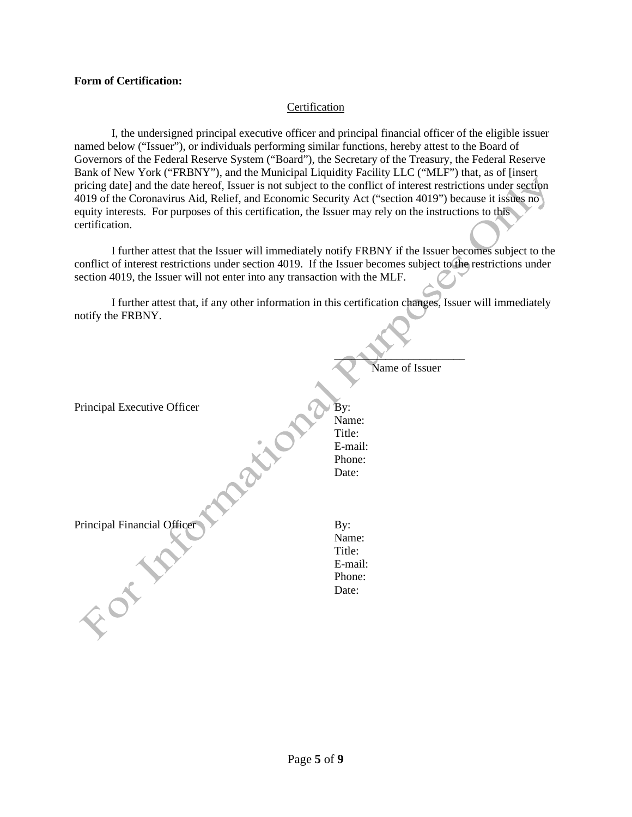#### **Form of Certification:**

#### Certification

I, the undersigned principal executive officer and principal financial officer of the eligible issuer named below ("Issuer"), or individuals performing similar functions, hereby attest to the Board of Governors of the Federal Reserve System ("Board"), the Secretary of the Treasury, the Federal Reserve Bank of New York ("FRBNY"), and the Municipal Liquidity Facility LLC ("MLF") that, as of [insert pricing date] and the date hereof, Issuer is not subject to the conflict of interest restrictions under section 4019 of the Coronavirus Aid, Relief, and Economic Security Act ("section 4019") because it issues no equity interests. For purposes of this certification, the Issuer may rely on the instructions to this certification.

I further attest that the Issuer will immediately notify FRBNY if the Issuer becomes subject to the conflict of interest restrictions under section 4019. If the Issuer becomes subject to the restrictions under section 4019, the Issuer will not enter into any transaction with the MLF.

I further attest that, if any other information in this certification changes, Issuer will immediately notify the FRBNY.

|                             | Name of Issuer |
|-----------------------------|----------------|
|                             |                |
|                             |                |
| Principal Executive Officer | By:            |
|                             | Name:          |
|                             | Title:         |
|                             | E-mail:        |
|                             | Phone:         |
|                             | Date:          |
|                             |                |
|                             |                |
| Principal Financial Officer | By:            |
|                             | Name:          |
|                             | Title:         |
|                             | E-mail:        |
|                             | Phone:         |
|                             |                |
|                             | Date:          |
|                             |                |
|                             |                |
|                             |                |
|                             |                |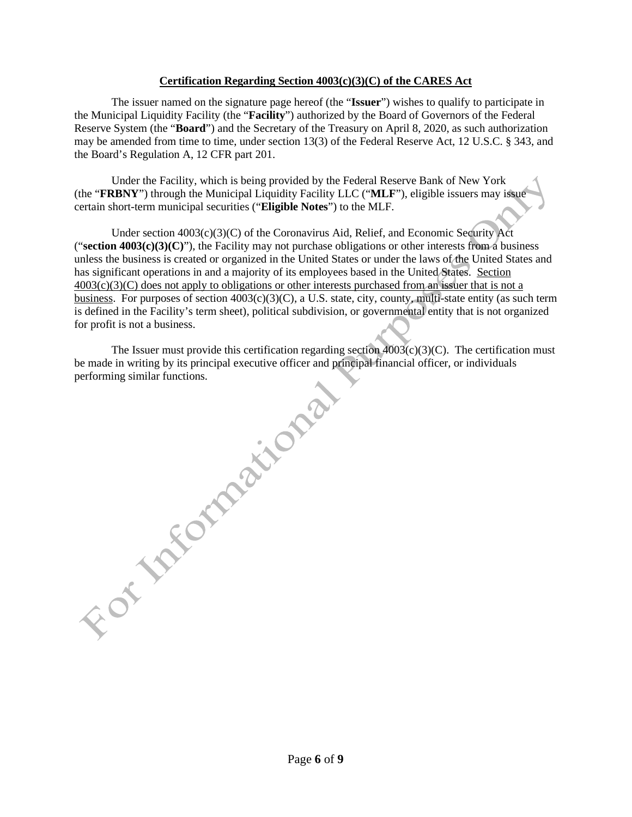# **Certification Regarding Section 4003(c)(3)(C) of the CARES Act**

The issuer named on the signature page hereof (the "**Issuer**") wishes to qualify to participate in the Municipal Liquidity Facility (the "**Facility**") authorized by the Board of Governors of the Federal Reserve System (the "**Board**") and the Secretary of the Treasury on April 8, 2020, as such authorization may be amended from time to time, under section 13(3) of the Federal Reserve Act, 12 U.S.C. § 343, and the Board's Regulation A, 12 CFR part 201.

Under the Facility, which is being provided by the Federal Reserve Bank of New York (the "**FRBNY**") through the Municipal Liquidity Facility LLC ("**MLF**"), eligible issuers may issue certain short-term municipal securities ("**Eligible Notes**") to the MLF.

Under section 4003(c)(3)(C) of the Coronavirus Aid, Relief, and Economic Security Act ("section  $4003(c)(3)(C)$ "), the Facility may not purchase obligations or other interests from a business unless the business is created or organized in the United States or under the laws of the United States and has significant operations in and a majority of its employees based in the United States. Section  $4003(c)(3)(C)$  does not apply to obligations or other interests purchased from an issuer that is not a business. For purposes of section  $4003(c)(3)(C)$ , a U.S. state, city, county, multi-state entity (as such term is defined in the Facility's term sheet), political subdivision, or governmental entity that is not organized for profit is not a business.

The Issuer must provide this certification regarding section  $4003(c)(3)(C)$ . The certification must be made in writing by its principal executive officer and principal financial officer, or individuals performing similar functions.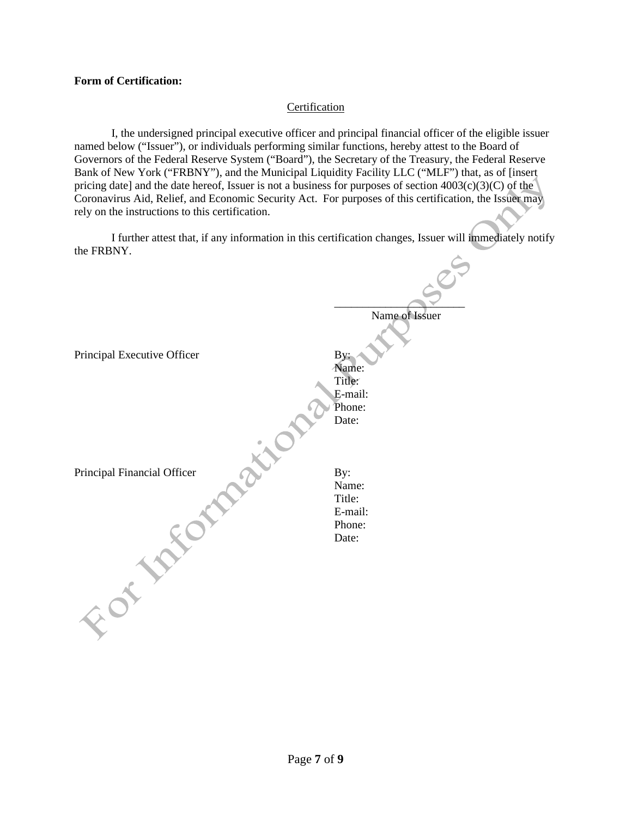## **Form of Certification:**

# Certification

I, the undersigned principal executive officer and principal financial officer of the eligible issuer named below ("Issuer"), or individuals performing similar functions, hereby attest to the Board of Governors of the Federal Reserve System ("Board"), the Secretary of the Treasury, the Federal Reserve Bank of New York ("FRBNY"), and the Municipal Liquidity Facility LLC ("MLF") that, as of [insert pricing date] and the date hereof, Issuer is not a business for purposes of section 4003(c)(3)(C) of the Coronavirus Aid, Relief, and Economic Security Act. For purposes of this certification, the Issuer may rely on the instructions to this certification.

I further attest that, if any information in this certification changes, Issuer will immediately notify the FRBNY.

 $\sim$ 

|                             | Name of Issuer    |
|-----------------------------|-------------------|
|                             |                   |
| Principal Executive Officer | By:               |
|                             | Name:<br>Title:   |
|                             | E-mail:           |
|                             | Phone:            |
|                             | Date:             |
|                             |                   |
|                             |                   |
| Principal Financial Officer | By:               |
|                             | Name:             |
|                             | Title:<br>E-mail: |
|                             | Phone:            |
|                             | Date:             |
|                             |                   |
|                             |                   |
|                             |                   |
|                             |                   |
|                             |                   |
|                             |                   |
|                             |                   |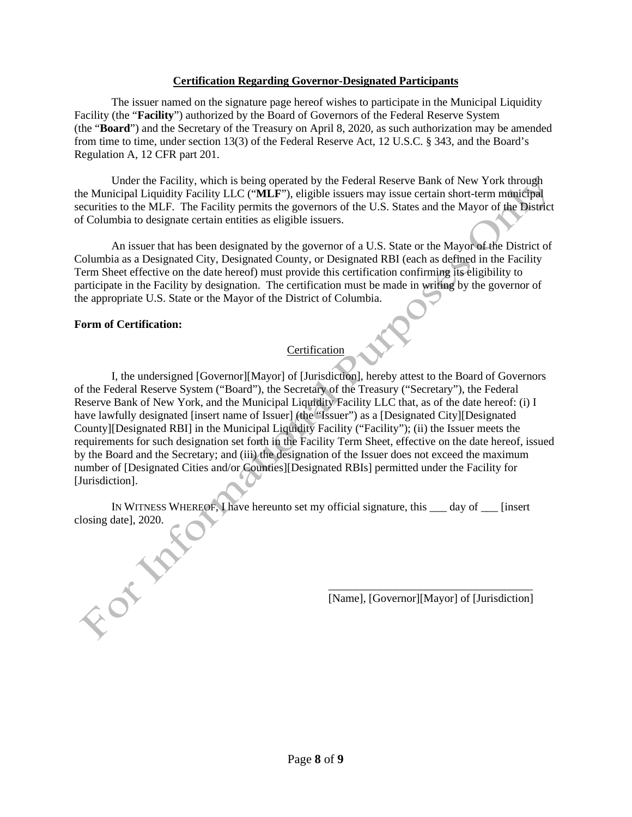# **Certification Regarding Governor-Designated Participants**

The issuer named on the signature page hereof wishes to participate in the Municipal Liquidity Facility (the "**Facility**") authorized by the Board of Governors of the Federal Reserve System (the "**Board**") and the Secretary of the Treasury on April 8, 2020, as such authorization may be amended from time to time, under section 13(3) of the Federal Reserve Act, 12 U.S.C. § 343, and the Board's Regulation A, 12 CFR part 201.

Under the Facility, which is being operated by the Federal Reserve Bank of New York through the Municipal Liquidity Facility LLC ("**MLF**"), eligible issuers may issue certain short-term municipal securities to the MLF. The Facility permits the governors of the U.S. States and the Mayor of the District of Columbia to designate certain entities as eligible issuers.

An issuer that has been designated by the governor of a U.S. State or the Mayor of the District of Columbia as a Designated City, Designated County, or Designated RBI (each as defined in the Facility Term Sheet effective on the date hereof) must provide this certification confirming its eligibility to participate in the Facility by designation. The certification must be made in writing by the governor of the appropriate U.S. State or the Mayor of the District of Columbia.

# **Form of Certification:**

# **Certification**

I, the undersigned [Governor][Mayor] of [Jurisdiction], hereby attest to the Board of Governors of the Federal Reserve System ("Board"), the Secretary of the Treasury ("Secretary"), the Federal Reserve Bank of New York, and the Municipal Liquidity Facility LLC that, as of the date hereof: (i) I have lawfully designated [insert name of Issuer] (the "Issuer") as a [Designated City][Designated County][Designated RBI] in the Municipal Liquidity Facility ("Facility"); (ii) the Issuer meets the requirements for such designation set forth in the Facility Term Sheet, effective on the date hereof, issued by the Board and the Secretary; and (iii) the designation of the Issuer does not exceed the maximum number of [Designated Cities and/or Counties][Designated RBIs] permitted under the Facility for [Jurisdiction].

IN WITNESS WHEREOF, I have hereunto set my official signature, this \_\_\_ day of \_\_\_ [insert closing date], 2020. FOT TON

 $\frac{1}{2}$  ,  $\frac{1}{2}$  ,  $\frac{1}{2}$  ,  $\frac{1}{2}$  ,  $\frac{1}{2}$  ,  $\frac{1}{2}$  ,  $\frac{1}{2}$  ,  $\frac{1}{2}$  ,  $\frac{1}{2}$  ,  $\frac{1}{2}$  ,  $\frac{1}{2}$  ,  $\frac{1}{2}$  ,  $\frac{1}{2}$  ,  $\frac{1}{2}$  ,  $\frac{1}{2}$  ,  $\frac{1}{2}$  ,  $\frac{1}{2}$  ,  $\frac{1}{2}$  ,  $\frac{1$ [Name], [Governor][Mayor] of [Jurisdiction]